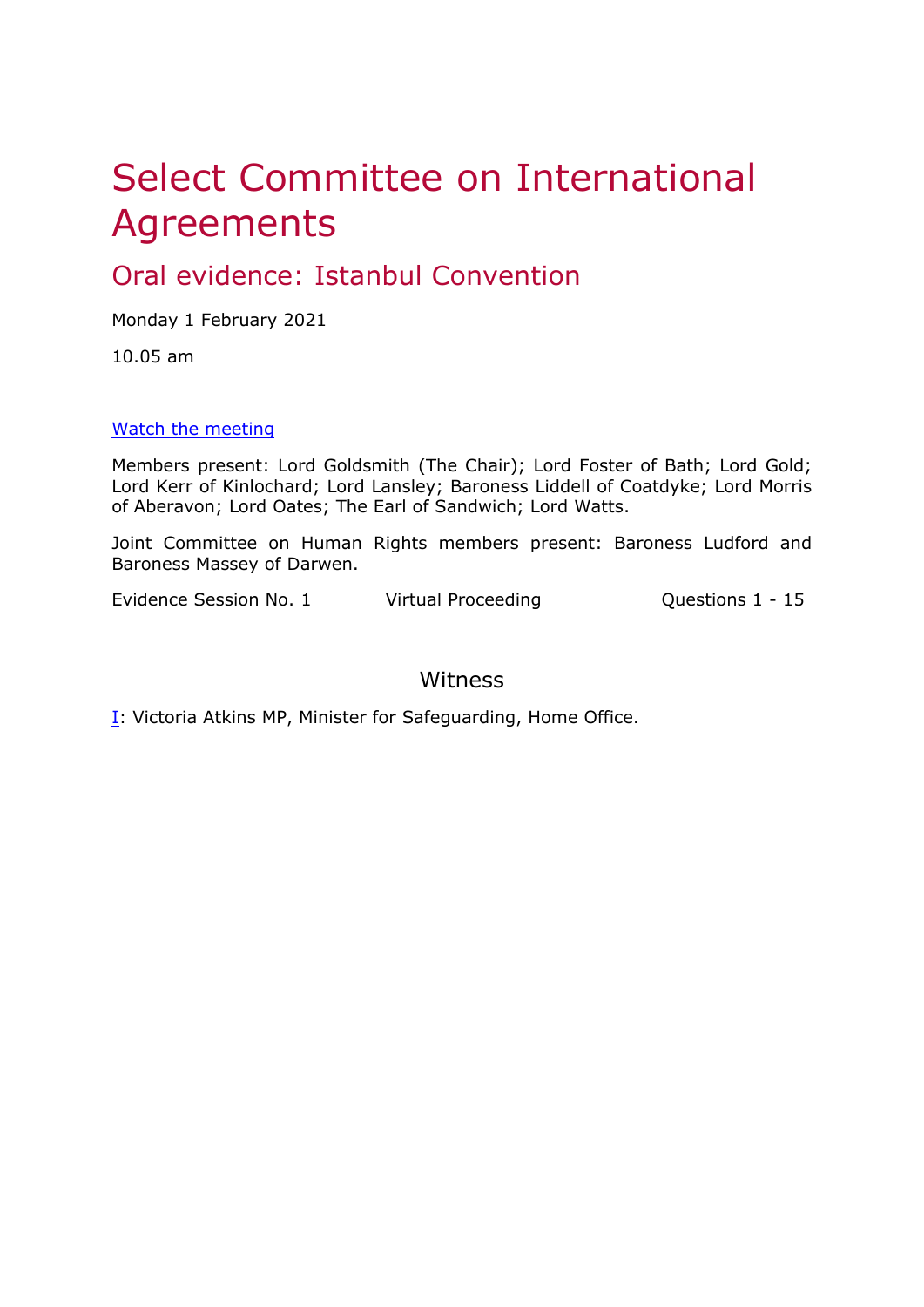# Select Committee on International Agreements

# Oral evidence: Istanbul Convention

Monday 1 February 2021

10.05 am

### [Watch](https://parliamentlive.tv/event/index/67e9f57f-1310-4893-ad76-267b51a96f6f) [the](https://parliamentlive.tv/event/index/67e9f57f-1310-4893-ad76-267b51a96f6f) [meeting](https://parliamentlive.tv/event/index/67e9f57f-1310-4893-ad76-267b51a96f6f)

Members present: Lord Goldsmith (The Chair); Lord Foster of Bath; Lord Gold; Lord Kerr of Kinlochard; Lord Lansley; Baroness Liddell of Coatdyke; Lord Morris of Aberavon; Lord Oates; The Earl of Sandwich; Lord Watts.

Joint Committee on Human Rights members present: Baroness Ludford and Baroness Massey of Darwen.

Evidence Session No. 1 Virtual Proceeding Cuestions 1 - 15

<span id="page-0-0"></span>

## Witness

**[I:](#page-0-0) Victoria Atkins MP, Minister for Safeguarding, Home Office.**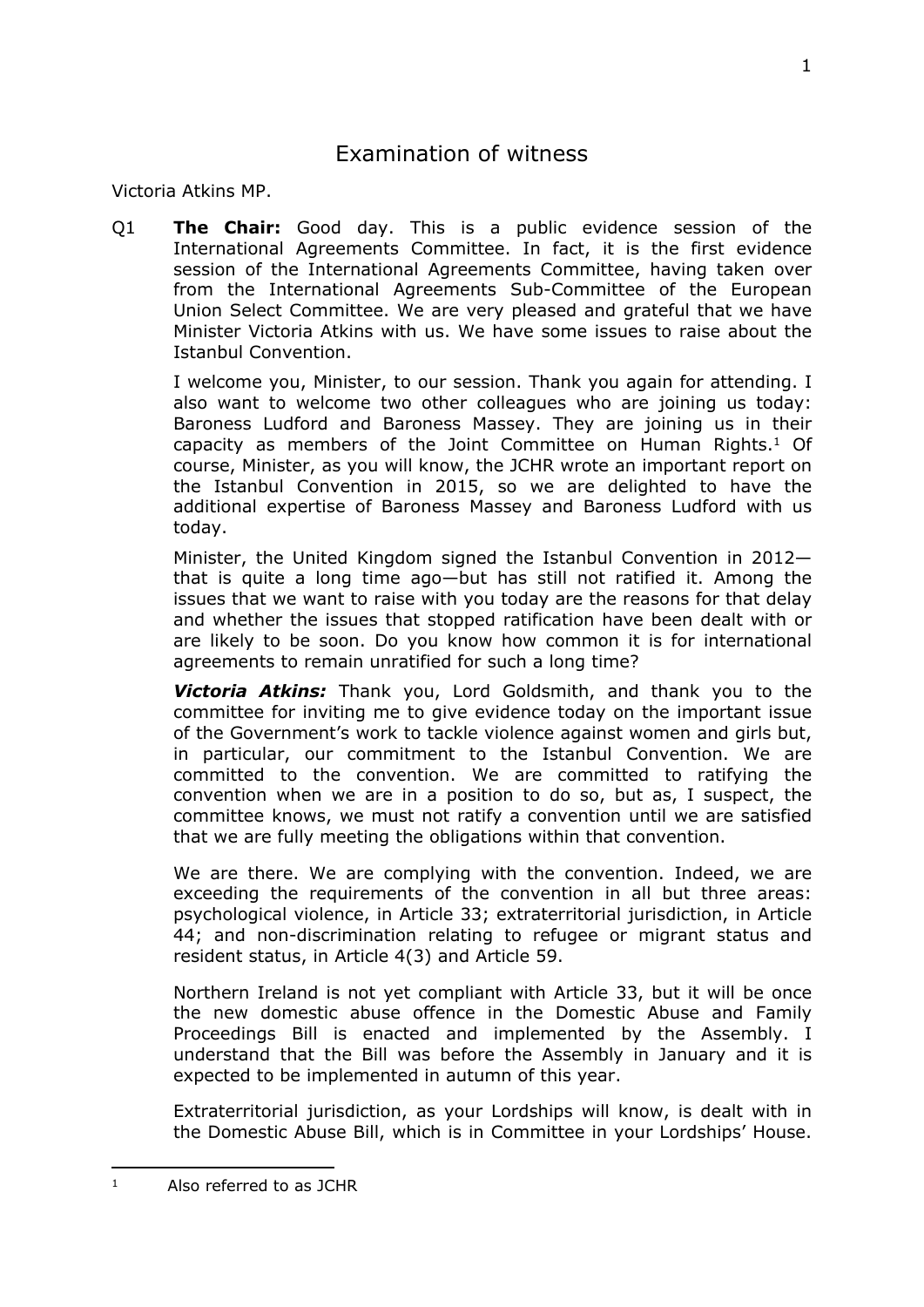# Examination of witness

Victoria Atkins MP.

Q1 **The Chair:** Good day. This is a public evidence session of the International Agreements Committee. In fact, it is the first evidence session of the International Agreements Committee, having taken over from the International Agreements Sub-Committee of the European Union Select Committee. We are very pleased and grateful that we have Minister Victoria Atkins with us. We have some issues to raise about the Istanbul Convention.

I welcome you, Minister, to our session. Thank you again for attending. I also want to welcome two other colleagues who are joining us today: Baroness Ludford and Baroness Massey. They are joining us in their capacity as members of the Joint Committee on Human Rights.<sup>1</sup> Of course, Minister, as you will know, the JCHR wrote an important report on the Istanbul Convention in 2015, so we are delighted to have the additional expertise of Baroness Massey and Baroness Ludford with us today.

Minister, the United Kingdom signed the Istanbul Convention in 2012 that is quite a long time ago—but has still not ratified it. Among the issues that we want to raise with you today are the reasons for that delay and whether the issues that stopped ratification have been dealt with or are likely to be soon. Do you know how common it is for international agreements to remain unratified for such a long time?

*Victoria Atkins:* Thank you, Lord Goldsmith, and thank you to the committee for inviting me to give evidence today on the important issue of the Government's work to tackle violence against women and girls but, in particular, our commitment to the Istanbul Convention. We are committed to the convention. We are committed to ratifying the convention when we are in a position to do so, but as, I suspect, the committee knows, we must not ratify a convention until we are satisfied that we are fully meeting the obligations within that convention.

We are there. We are complying with the convention. Indeed, we are exceeding the requirements of the convention in all but three areas: psychological violence, in Article 33; extraterritorial jurisdiction, in Article 44; and non-discrimination relating to refugee or migrant status and resident status, in Article 4(3) and Article 59.

Northern Ireland is not yet compliant with Article 33, but it will be once the new domestic abuse offence in the Domestic Abuse and Family Proceedings Bill is enacted and implemented by the Assembly. I understand that the Bill was before the Assembly in January and it is expected to be implemented in autumn of this year.

Extraterritorial jurisdiction, as your Lordships will know, is dealt with in the Domestic Abuse Bill, which is in Committee in your Lordships' House.

<sup>1</sup> Also referred to as JCHR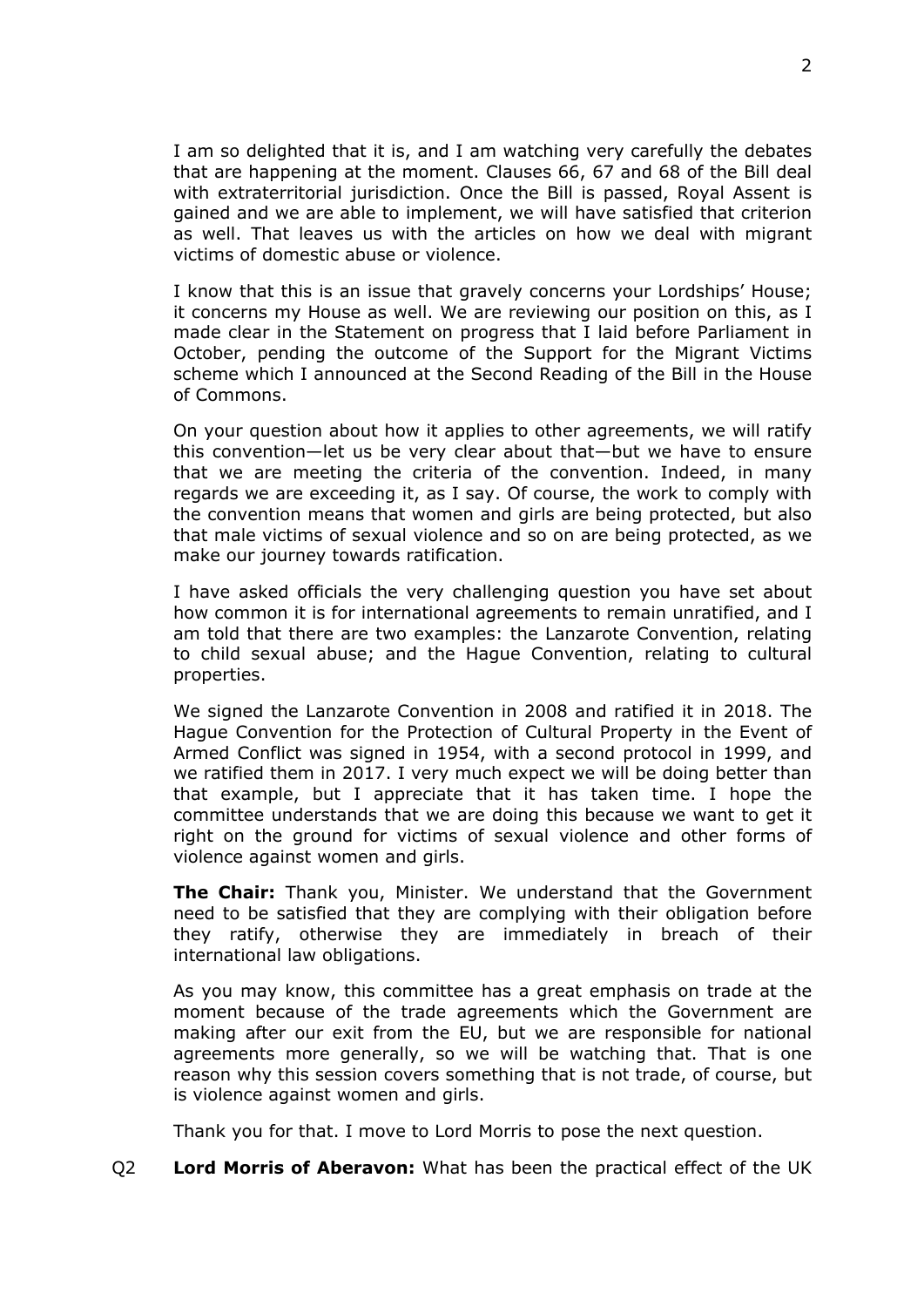I am so delighted that it is, and I am watching very carefully the debates that are happening at the moment. Clauses 66, 67 and 68 of the Bill deal with extraterritorial jurisdiction. Once the Bill is passed, Royal Assent is gained and we are able to implement, we will have satisfied that criterion as well. That leaves us with the articles on how we deal with migrant victims of domestic abuse or violence.

I know that this is an issue that gravely concerns your Lordships' House; it concerns my House as well. We are reviewing our position on this, as I made clear in the Statement on progress that I laid before Parliament in October, pending the outcome of the Support for the Migrant Victims scheme which I announced at the Second Reading of the Bill in the House of Commons.

On your question about how it applies to other agreements, we will ratify this convention—let us be very clear about that—but we have to ensure that we are meeting the criteria of the convention. Indeed, in many regards we are exceeding it, as I say. Of course, the work to comply with the convention means that women and girls are being protected, but also that male victims of sexual violence and so on are being protected, as we make our journey towards ratification.

I have asked officials the very challenging question you have set about how common it is for international agreements to remain unratified, and I am told that there are two examples: the Lanzarote Convention, relating to child sexual abuse; and the Hague Convention, relating to cultural properties.

We signed the Lanzarote Convention in 2008 and ratified it in 2018. The Hague Convention for the Protection of Cultural Property in the Event of Armed Conflict was signed in 1954, with a second protocol in 1999, and we ratified them in 2017. I very much expect we will be doing better than that example, but I appreciate that it has taken time. I hope the committee understands that we are doing this because we want to get it right on the ground for victims of sexual violence and other forms of violence against women and girls.

**The Chair:** Thank you, Minister. We understand that the Government need to be satisfied that they are complying with their obligation before they ratify, otherwise they are immediately in breach of their international law obligations.

As you may know, this committee has a great emphasis on trade at the moment because of the trade agreements which the Government are making after our exit from the EU, but we are responsible for national agreements more generally, so we will be watching that. That is one reason why this session covers something that is not trade, of course, but is violence against women and girls.

Thank you for that. I move to Lord Morris to pose the next question.

Q2 **Lord Morris of Aberavon:** What has been the practical effect of the UK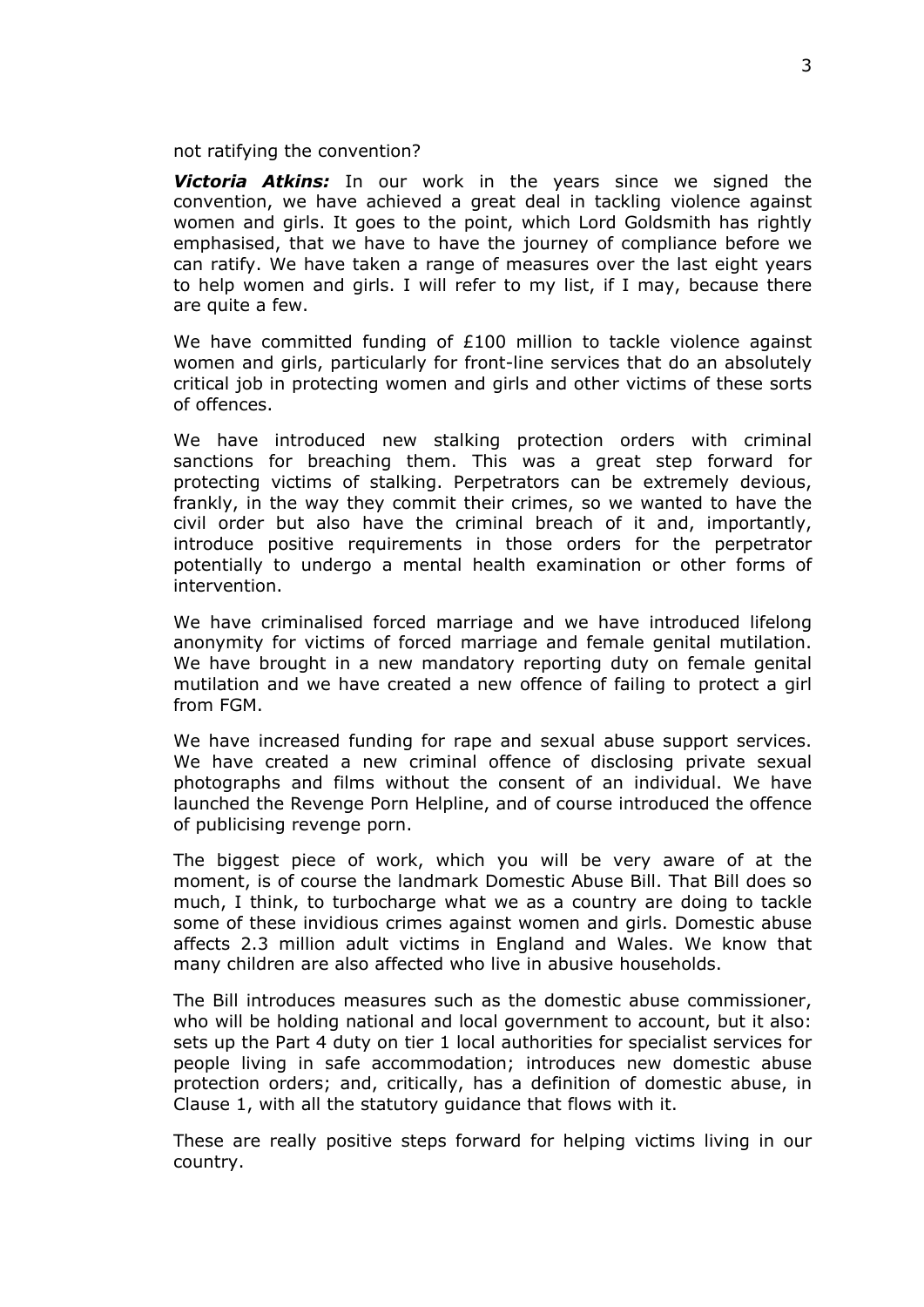not ratifying the convention?

*Victoria Atkins:* In our work in the years since we signed the convention, we have achieved a great deal in tackling violence against women and girls. It goes to the point, which Lord Goldsmith has rightly emphasised, that we have to have the journey of compliance before we can ratify. We have taken a range of measures over the last eight years to help women and girls. I will refer to my list, if I may, because there are quite a few.

We have committed funding of £100 million to tackle violence against women and girls, particularly for front-line services that do an absolutely critical job in protecting women and girls and other victims of these sorts of offences.

We have introduced new stalking protection orders with criminal sanctions for breaching them. This was a great step forward for protecting victims of stalking. Perpetrators can be extremely devious, frankly, in the way they commit their crimes, so we wanted to have the civil order but also have the criminal breach of it and, importantly, introduce positive requirements in those orders for the perpetrator potentially to undergo a mental health examination or other forms of intervention.

We have criminalised forced marriage and we have introduced lifelong anonymity for victims of forced marriage and female genital mutilation. We have brought in a new mandatory reporting duty on female genital mutilation and we have created a new offence of failing to protect a girl from FGM.

We have increased funding for rape and sexual abuse support services. We have created a new criminal offence of disclosing private sexual photographs and films without the consent of an individual. We have launched the Revenge Porn Helpline, and of course introduced the offence of publicising revenge porn.

The biggest piece of work, which you will be very aware of at the moment, is of course the landmark Domestic Abuse Bill. That Bill does so much, I think, to turbocharge what we as a country are doing to tackle some of these invidious crimes against women and girls. Domestic abuse affects 2.3 million adult victims in England and Wales. We know that many children are also affected who live in abusive households.

The Bill introduces measures such as the domestic abuse commissioner, who will be holding national and local government to account, but it also: sets up the Part 4 duty on tier 1 local authorities for specialist services for people living in safe accommodation; introduces new domestic abuse protection orders; and, critically, has a definition of domestic abuse, in Clause 1, with all the statutory guidance that flows with it.

These are really positive steps forward for helping victims living in our country.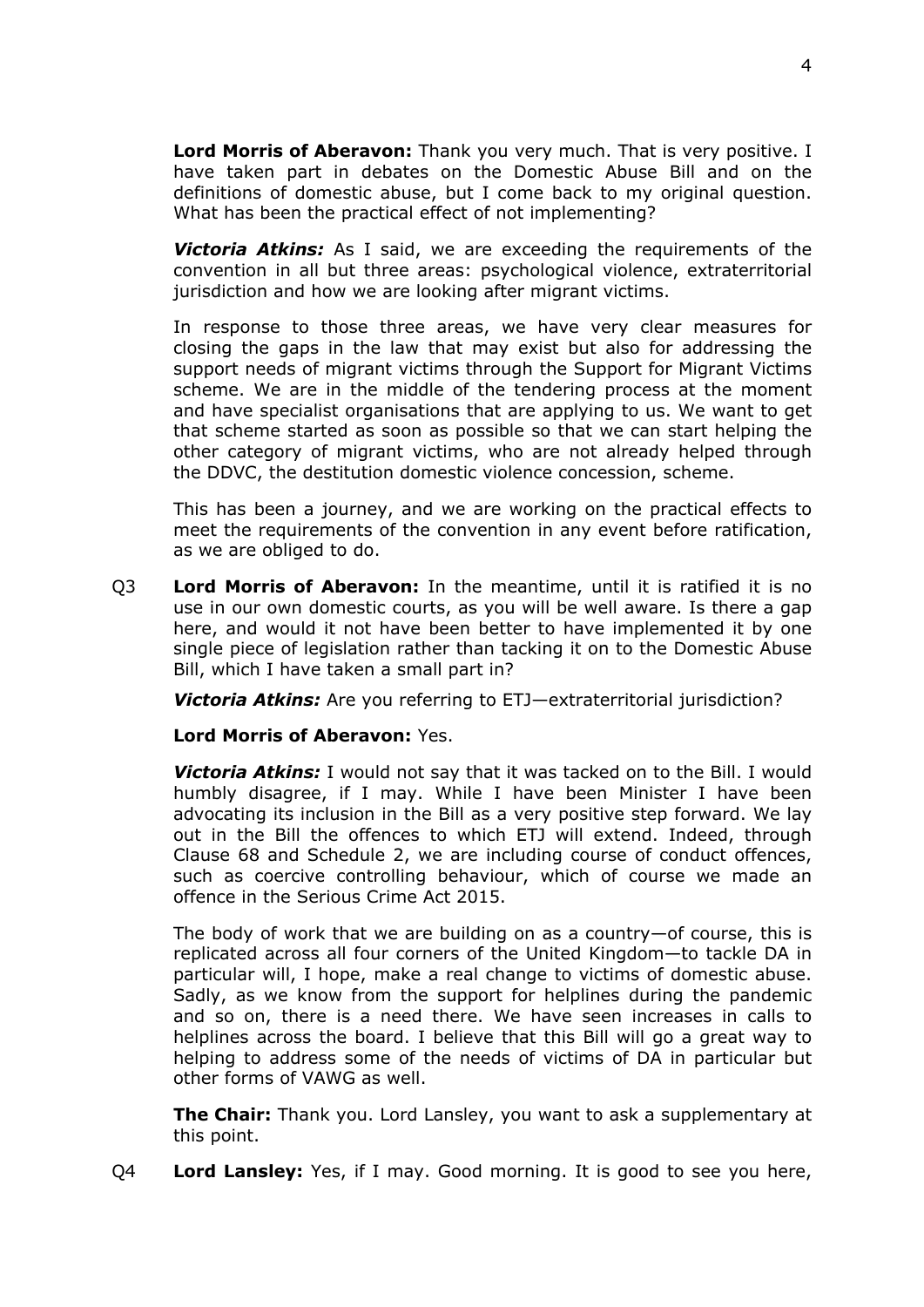**Lord Morris of Aberavon:** Thank you very much. That is very positive. I have taken part in debates on the Domestic Abuse Bill and on the definitions of domestic abuse, but I come back to my original question. What has been the practical effect of not implementing?

*Victoria Atkins:* As I said, we are exceeding the requirements of the convention in all but three areas: psychological violence, extraterritorial jurisdiction and how we are looking after migrant victims.

In response to those three areas, we have very clear measures for closing the gaps in the law that may exist but also for addressing the support needs of migrant victims through the Support for Migrant Victims scheme. We are in the middle of the tendering process at the moment and have specialist organisations that are applying to us. We want to get that scheme started as soon as possible so that we can start helping the other category of migrant victims, who are not already helped through the DDVC, the destitution domestic violence concession, scheme.

This has been a journey, and we are working on the practical effects to meet the requirements of the convention in any event before ratification, as we are obliged to do.

Q3 **Lord Morris of Aberavon:** In the meantime, until it is ratified it is no use in our own domestic courts, as you will be well aware. Is there a gap here, and would it not have been better to have implemented it by one single piece of legislation rather than tacking it on to the Domestic Abuse Bill, which I have taken a small part in?

*Victoria Atkins:* Are you referring to ETJ—extraterritorial jurisdiction?

**Lord Morris of Aberavon:** Yes.

*Victoria Atkins:* I would not say that it was tacked on to the Bill. I would humbly disagree, if I may. While I have been Minister I have been advocating its inclusion in the Bill as a very positive step forward. We lay out in the Bill the offences to which ETJ will extend. Indeed, through Clause 68 and Schedule 2, we are including course of conduct offences, such as coercive controlling behaviour, which of course we made an offence in the Serious Crime Act 2015.

The body of work that we are building on as a country—of course, this is replicated across all four corners of the United Kingdom—to tackle DA in particular will, I hope, make a real change to victims of domestic abuse. Sadly, as we know from the support for helplines during the pandemic and so on, there is a need there. We have seen increases in calls to helplines across the board. I believe that this Bill will go a great way to helping to address some of the needs of victims of DA in particular but other forms of VAWG as well.

**The Chair:** Thank you. Lord Lansley, you want to ask a supplementary at this point.

Q4 **Lord Lansley:** Yes, if I may. Good morning. It is good to see you here,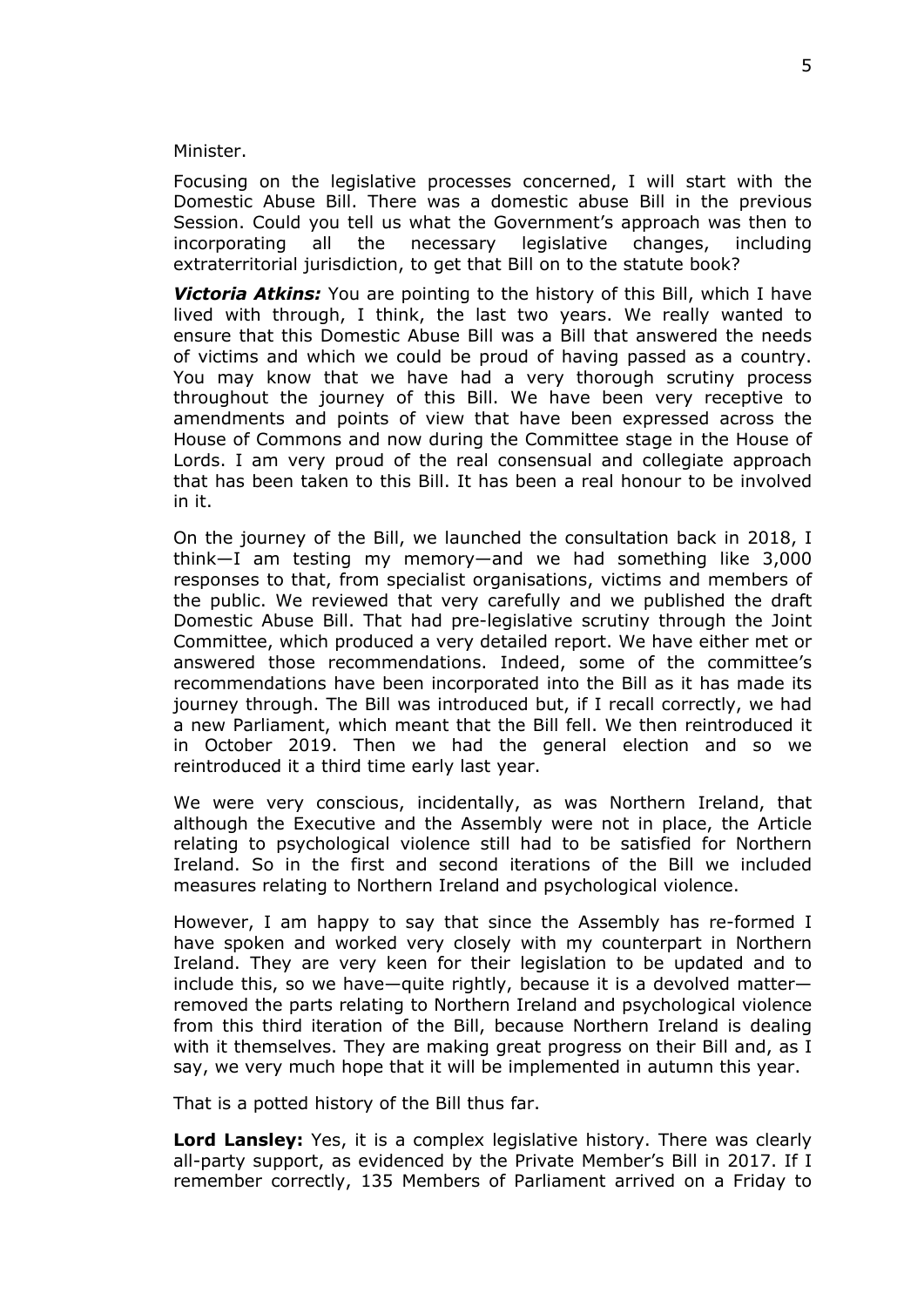Minister.

Focusing on the legislative processes concerned, I will start with the Domestic Abuse Bill. There was a domestic abuse Bill in the previous Session. Could you tell us what the Government's approach was then to incorporating all the necessary legislative changes, including extraterritorial jurisdiction, to get that Bill on to the statute book?

**Victoria Atkins:** You are pointing to the history of this Bill, which I have lived with through, I think, the last two years. We really wanted to ensure that this Domestic Abuse Bill was a Bill that answered the needs of victims and which we could be proud of having passed as a country. You may know that we have had a very thorough scrutiny process throughout the journey of this Bill. We have been very receptive to amendments and points of view that have been expressed across the House of Commons and now during the Committee stage in the House of Lords. I am very proud of the real consensual and collegiate approach that has been taken to this Bill. It has been a real honour to be involved in it.

On the journey of the Bill, we launched the consultation back in 2018, I think—I am testing my memory—and we had something like 3,000 responses to that, from specialist organisations, victims and members of the public. We reviewed that very carefully and we published the draft Domestic Abuse Bill. That had pre-legislative scrutiny through the Joint Committee, which produced a very detailed report. We have either met or answered those recommendations. Indeed, some of the committee's recommendations have been incorporated into the Bill as it has made its journey through. The Bill was introduced but, if I recall correctly, we had a new Parliament, which meant that the Bill fell. We then reintroduced it in October 2019. Then we had the general election and so we reintroduced it a third time early last year.

We were very conscious, incidentally, as was Northern Ireland, that although the Executive and the Assembly were not in place, the Article relating to psychological violence still had to be satisfied for Northern Ireland. So in the first and second iterations of the Bill we included measures relating to Northern Ireland and psychological violence.

However, I am happy to say that since the Assembly has re-formed I have spoken and worked very closely with my counterpart in Northern Ireland. They are very keen for their legislation to be updated and to include this, so we have—quite rightly, because it is a devolved matter removed the parts relating to Northern Ireland and psychological violence from this third iteration of the Bill, because Northern Ireland is dealing with it themselves. They are making great progress on their Bill and, as I say, we very much hope that it will be implemented in autumn this year.

That is a potted history of the Bill thus far.

**Lord Lansley:** Yes, it is a complex legislative history. There was clearly all-party support, as evidenced by the Private Member's Bill in 2017. If I remember correctly, 135 Members of Parliament arrived on a Friday to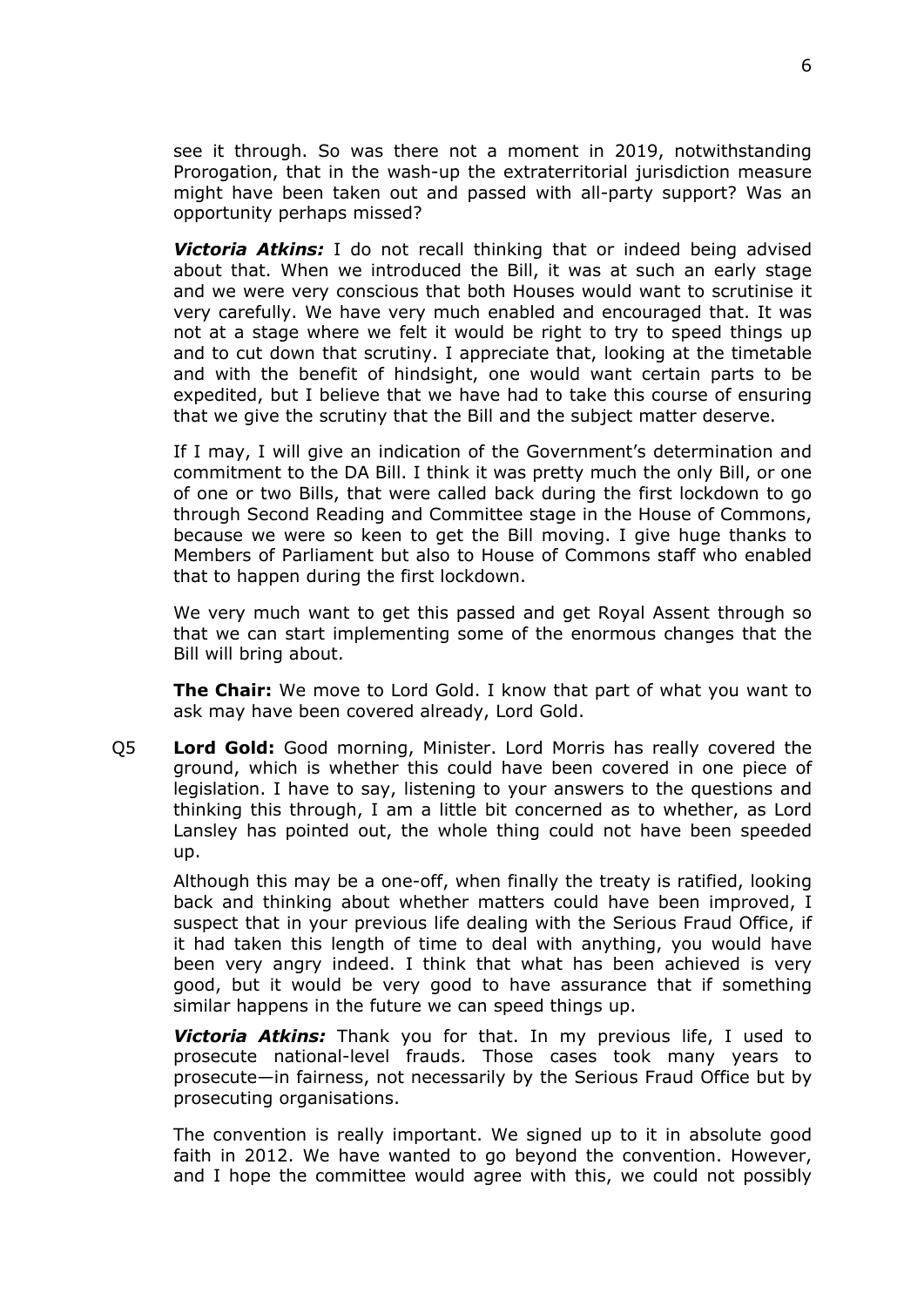see it through. So was there not a moment in 2019, notwithstanding Prorogation, that in the wash-up the extraterritorial jurisdiction measure might have been taken out and passed with all-party support? Was an opportunity perhaps missed?

*Victoria Atkins:* I do not recall thinking that or indeed being advised about that. When we introduced the Bill, it was at such an early stage and we were very conscious that both Houses would want to scrutinise it very carefully. We have very much enabled and encouraged that. It was not at a stage where we felt it would be right to try to speed things up and to cut down that scrutiny. I appreciate that, looking at the timetable and with the benefit of hindsight, one would want certain parts to be expedited, but I believe that we have had to take this course of ensuring that we give the scrutiny that the Bill and the subject matter deserve.

If I may, I will give an indication of the Government's determination and commitment to the DA Bill. I think it was pretty much the only Bill, or one of one or two Bills, that were called back during the first lockdown to go through Second Reading and Committee stage in the House of Commons, because we were so keen to get the Bill moving. I give huge thanks to Members of Parliament but also to House of Commons staff who enabled that to happen during the first lockdown.

We very much want to get this passed and get Royal Assent through so that we can start implementing some of the enormous changes that the Bill will bring about.

**The Chair:** We move to Lord Gold. I know that part of what you want to ask may have been covered already, Lord Gold.

Q5 **Lord Gold:** Good morning, Minister. Lord Morris has really covered the ground, which is whether this could have been covered in one piece of legislation. I have to say, listening to your answers to the questions and thinking this through, I am a little bit concerned as to whether, as Lord Lansley has pointed out, the whole thing could not have been speeded up.

Although this may be a one-off, when finally the treaty is ratified, looking back and thinking about whether matters could have been improved, I suspect that in your previous life dealing with the Serious Fraud Office, if it had taken this length of time to deal with anything, you would have been very angry indeed. I think that what has been achieved is very good, but it would be very good to have assurance that if something similar happens in the future we can speed things up.

*Victoria Atkins:* Thank you for that. In my previous life, I used to prosecute national-level frauds. Those cases took many years to prosecute—in fairness, not necessarily by the Serious Fraud Office but by prosecuting organisations.

The convention is really important. We signed up to it in absolute good faith in 2012. We have wanted to go beyond the convention. However, and I hope the committee would agree with this, we could not possibly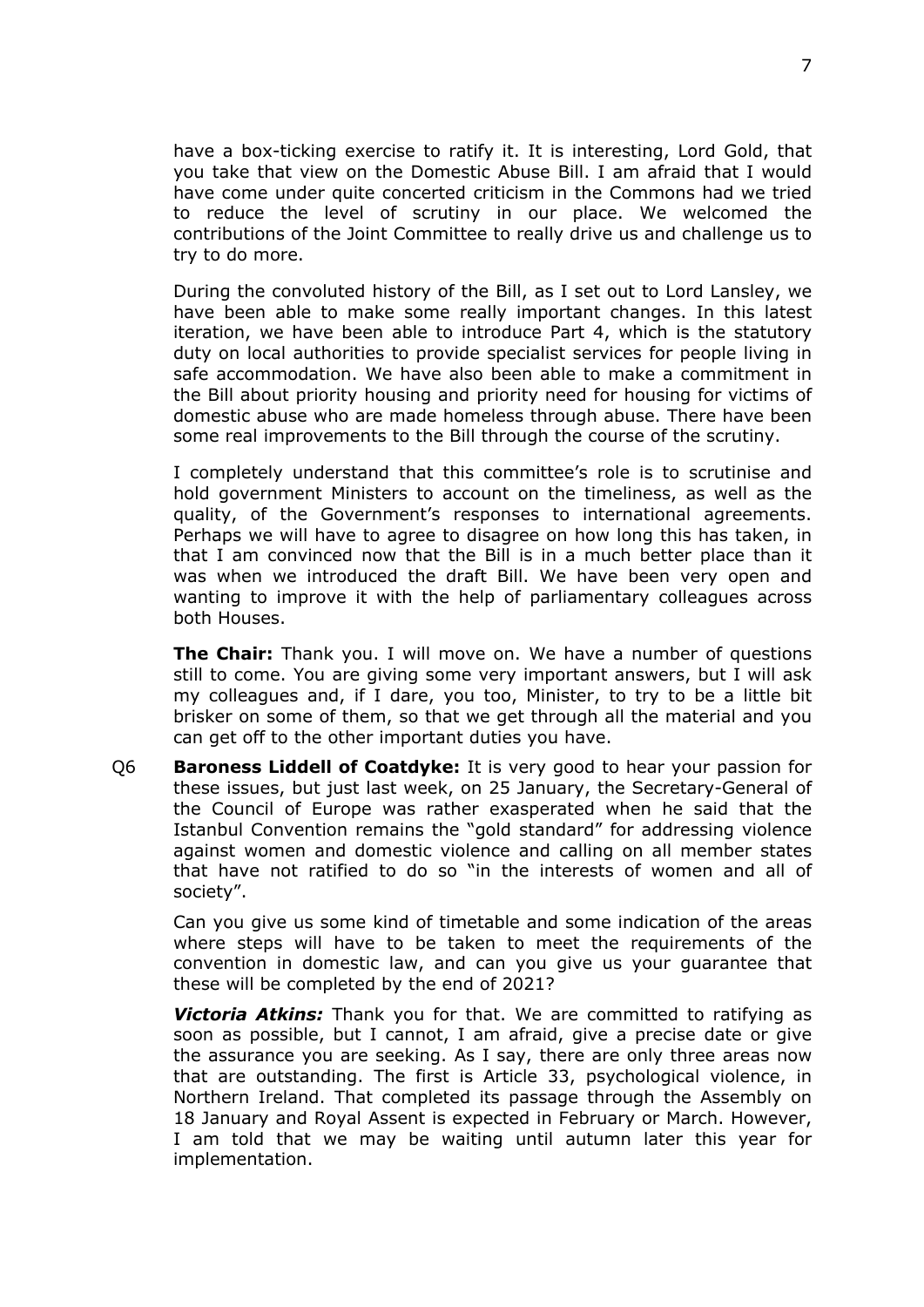have a box-ticking exercise to ratify it. It is interesting, Lord Gold, that you take that view on the Domestic Abuse Bill. I am afraid that I would have come under quite concerted criticism in the Commons had we tried to reduce the level of scrutiny in our place. We welcomed the contributions of the Joint Committee to really drive us and challenge us to try to do more.

During the convoluted history of the Bill, as I set out to Lord Lansley, we have been able to make some really important changes. In this latest iteration, we have been able to introduce Part 4, which is the statutory duty on local authorities to provide specialist services for people living in safe accommodation. We have also been able to make a commitment in the Bill about priority housing and priority need for housing for victims of domestic abuse who are made homeless through abuse. There have been some real improvements to the Bill through the course of the scrutiny.

I completely understand that this committee's role is to scrutinise and hold government Ministers to account on the timeliness, as well as the quality, of the Government's responses to international agreements. Perhaps we will have to agree to disagree on how long this has taken, in that I am convinced now that the Bill is in a much better place than it was when we introduced the draft Bill. We have been very open and wanting to improve it with the help of parliamentary colleagues across both Houses.

**The Chair:** Thank you. I will move on. We have a number of questions still to come. You are giving some very important answers, but I will ask my colleagues and, if I dare, you too, Minister, to try to be a little bit brisker on some of them, so that we get through all the material and you can get off to the other important duties you have.

Q6 **Baroness Liddell of Coatdyke:** It is very good to hear your passion for these issues, but just last week, on 25 January, the Secretary-General of the Council of Europe was rather exasperated when he said that the Istanbul Convention remains the "gold standard" for addressing violence against women and domestic violence and calling on all member states that have not ratified to do so "in the interests of women and all of society".

Can you give us some kind of timetable and some indication of the areas where steps will have to be taken to meet the requirements of the convention in domestic law, and can you give us your guarantee that these will be completed by the end of 2021?

*Victoria Atkins:* Thank you for that. We are committed to ratifying as soon as possible, but I cannot, I am afraid, give a precise date or give the assurance you are seeking. As I say, there are only three areas now that are outstanding. The first is Article 33, psychological violence, in Northern Ireland. That completed its passage through the Assembly on 18 January and Royal Assent is expected in February or March. However, I am told that we may be waiting until autumn later this year for implementation.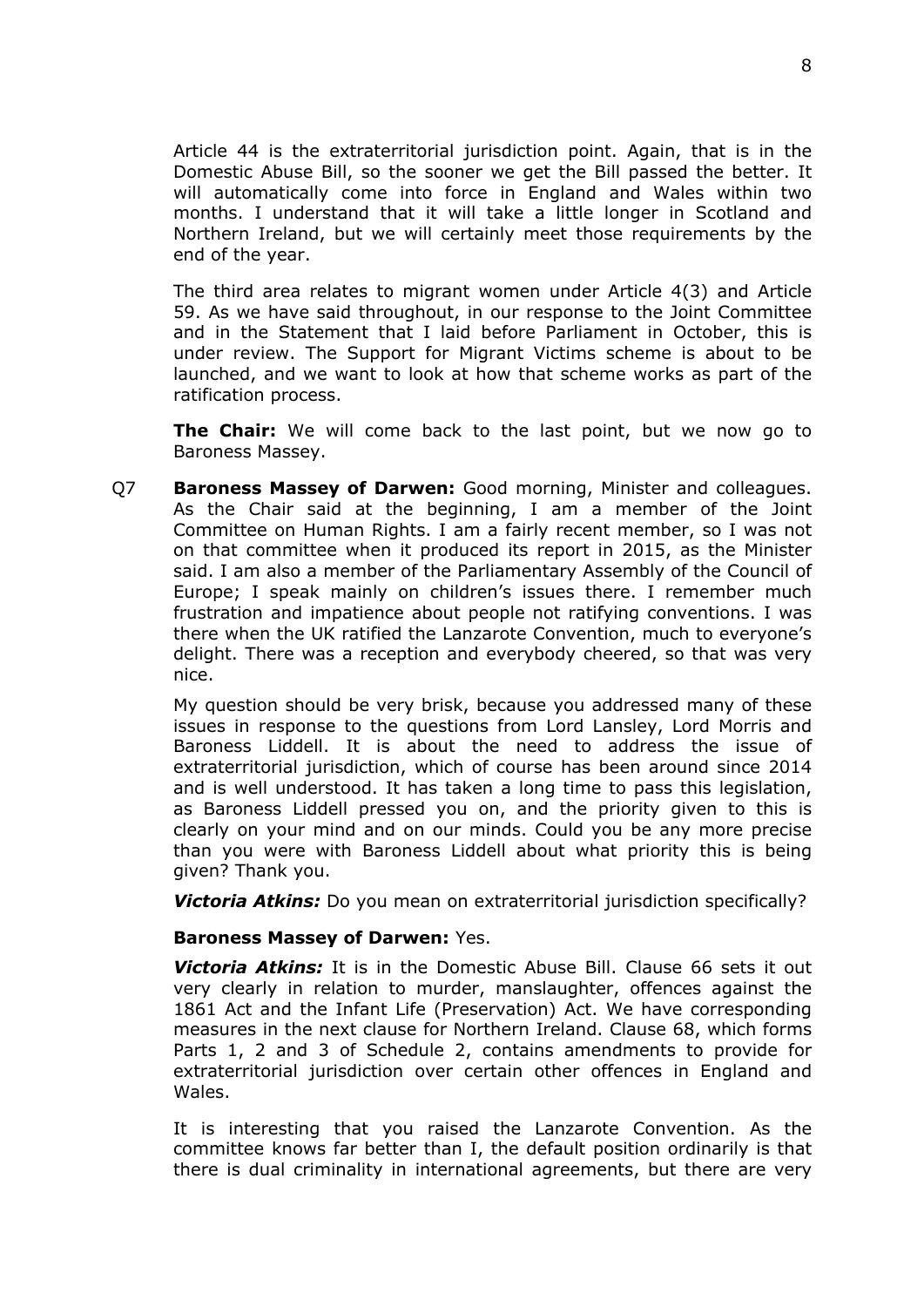Article 44 is the extraterritorial jurisdiction point. Again, that is in the Domestic Abuse Bill, so the sooner we get the Bill passed the better. It will automatically come into force in England and Wales within two months. I understand that it will take a little longer in Scotland and Northern Ireland, but we will certainly meet those requirements by the end of the year.

The third area relates to migrant women under Article 4(3) and Article 59. As we have said throughout, in our response to the Joint Committee and in the Statement that I laid before Parliament in October, this is under review. The Support for Migrant Victims scheme is about to be launched, and we want to look at how that scheme works as part of the ratification process.

**The Chair:** We will come back to the last point, but we now go to Baroness Massey.

Q7 **Baroness Massey of Darwen:** Good morning, Minister and colleagues. As the Chair said at the beginning, I am a member of the Joint Committee on Human Rights. I am a fairly recent member, so I was not on that committee when it produced its report in 2015, as the Minister said. I am also a member of the Parliamentary Assembly of the Council of Europe; I speak mainly on children's issues there. I remember much frustration and impatience about people not ratifying conventions. I was there when the UK ratified the Lanzarote Convention, much to everyone's delight. There was a reception and everybody cheered, so that was very nice.

My question should be very brisk, because you addressed many of these issues in response to the questions from Lord Lansley, Lord Morris and Baroness Liddell. It is about the need to address the issue of extraterritorial jurisdiction, which of course has been around since 2014 and is well understood. It has taken a long time to pass this legislation, as Baroness Liddell pressed you on, and the priority given to this is clearly on your mind and on our minds. Could you be any more precise than you were with Baroness Liddell about what priority this is being given? Thank you.

*Victoria Atkins:* Do you mean on extraterritorial jurisdiction specifically?

#### **Baroness Massey of Darwen:** Yes.

*Victoria Atkins:* It is in the Domestic Abuse Bill. Clause 66 sets it out very clearly in relation to murder, manslaughter, offences against the 1861 Act and the Infant Life (Preservation) Act. We have corresponding measures in the next clause for Northern Ireland. Clause 68, which forms Parts 1, 2 and 3 of Schedule 2, contains amendments to provide for extraterritorial jurisdiction over certain other offences in England and Wales.

It is interesting that you raised the Lanzarote Convention. As the committee knows far better than I, the default position ordinarily is that there is dual criminality in international agreements, but there are very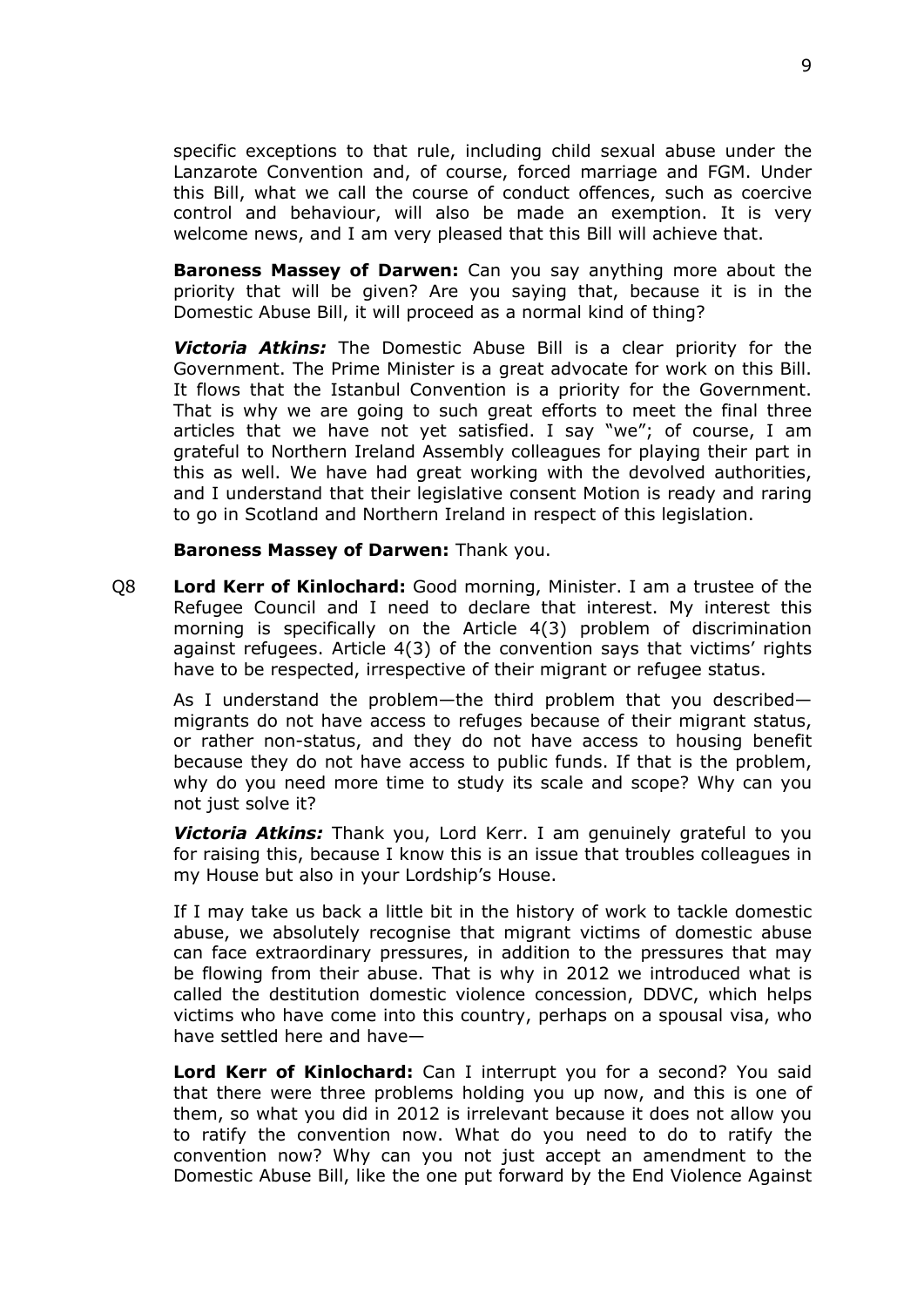specific exceptions to that rule, including child sexual abuse under the Lanzarote Convention and, of course, forced marriage and FGM. Under this Bill, what we call the course of conduct offences, such as coercive control and behaviour, will also be made an exemption. It is very welcome news, and I am very pleased that this Bill will achieve that.

**Baroness Massey of Darwen:** Can you say anything more about the priority that will be given? Are you saying that, because it is in the Domestic Abuse Bill, it will proceed as a normal kind of thing?

*Victoria Atkins:* The Domestic Abuse Bill is a clear priority for the Government. The Prime Minister is a great advocate for work on this Bill. It flows that the Istanbul Convention is a priority for the Government. That is why we are going to such great efforts to meet the final three articles that we have not yet satisfied. I say "we"; of course, I am grateful to Northern Ireland Assembly colleagues for playing their part in this as well. We have had great working with the devolved authorities, and I understand that their legislative consent Motion is ready and raring to go in Scotland and Northern Ireland in respect of this legislation.

#### **Baroness Massey of Darwen:** Thank you.

Q8 **Lord Kerr of Kinlochard:** Good morning, Minister. I am a trustee of the Refugee Council and I need to declare that interest. My interest this morning is specifically on the Article 4(3) problem of discrimination against refugees. Article 4(3) of the convention says that victims' rights have to be respected, irrespective of their migrant or refugee status.

As I understand the problem—the third problem that you described migrants do not have access to refuges because of their migrant status, or rather non-status, and they do not have access to housing benefit because they do not have access to public funds. If that is the problem, why do you need more time to study its scale and scope? Why can you not just solve it?

*Victoria Atkins:* Thank you, Lord Kerr. I am genuinely grateful to you for raising this, because I know this is an issue that troubles colleagues in my House but also in your Lordship's House.

If I may take us back a little bit in the history of work to tackle domestic abuse, we absolutely recognise that migrant victims of domestic abuse can face extraordinary pressures, in addition to the pressures that may be flowing from their abuse. That is why in 2012 we introduced what is called the destitution domestic violence concession, DDVC, which helps victims who have come into this country, perhaps on a spousal visa, who have settled here and have—

**Lord Kerr of Kinlochard:** Can I interrupt you for a second? You said that there were three problems holding you up now, and this is one of them, so what you did in 2012 is irrelevant because it does not allow you to ratify the convention now. What do you need to do to ratify the convention now? Why can you not just accept an amendment to the Domestic Abuse Bill, like the one put forward by the End Violence Against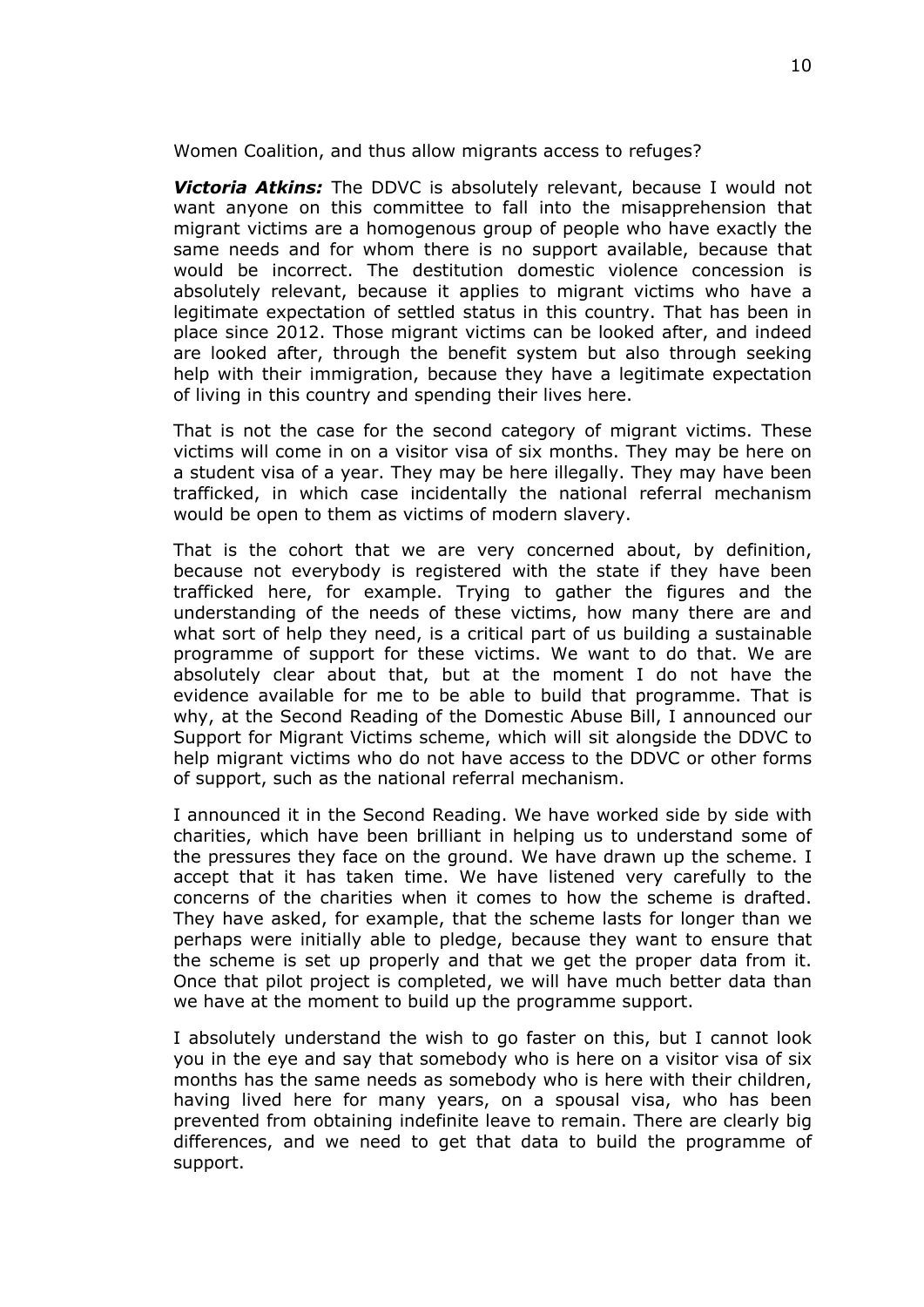Women Coalition, and thus allow migrants access to refuges?

*Victoria Atkins:* The DDVC is absolutely relevant, because I would not want anyone on this committee to fall into the misapprehension that migrant victims are a homogenous group of people who have exactly the same needs and for whom there is no support available, because that would be incorrect. The destitution domestic violence concession is absolutely relevant, because it applies to migrant victims who have a legitimate expectation of settled status in this country. That has been in place since 2012. Those migrant victims can be looked after, and indeed are looked after, through the benefit system but also through seeking help with their immigration, because they have a legitimate expectation of living in this country and spending their lives here.

That is not the case for the second category of migrant victims. These victims will come in on a visitor visa of six months. They may be here on a student visa of a year. They may be here illegally. They may have been trafficked, in which case incidentally the national referral mechanism would be open to them as victims of modern slavery.

That is the cohort that we are very concerned about, by definition, because not everybody is registered with the state if they have been trafficked here, for example. Trying to gather the figures and the understanding of the needs of these victims, how many there are and what sort of help they need, is a critical part of us building a sustainable programme of support for these victims. We want to do that. We are absolutely clear about that, but at the moment I do not have the evidence available for me to be able to build that programme. That is why, at the Second Reading of the Domestic Abuse Bill, I announced our Support for Migrant Victims scheme, which will sit alongside the DDVC to help migrant victims who do not have access to the DDVC or other forms of support, such as the national referral mechanism.

I announced it in the Second Reading. We have worked side by side with charities, which have been brilliant in helping us to understand some of the pressures they face on the ground. We have drawn up the scheme. I accept that it has taken time. We have listened very carefully to the concerns of the charities when it comes to how the scheme is drafted. They have asked, for example, that the scheme lasts for longer than we perhaps were initially able to pledge, because they want to ensure that the scheme is set up properly and that we get the proper data from it. Once that pilot project is completed, we will have much better data than we have at the moment to build up the programme support.

I absolutely understand the wish to go faster on this, but I cannot look you in the eye and say that somebody who is here on a visitor visa of six months has the same needs as somebody who is here with their children, having lived here for many years, on a spousal visa, who has been prevented from obtaining indefinite leave to remain. There are clearly big differences, and we need to get that data to build the programme of support.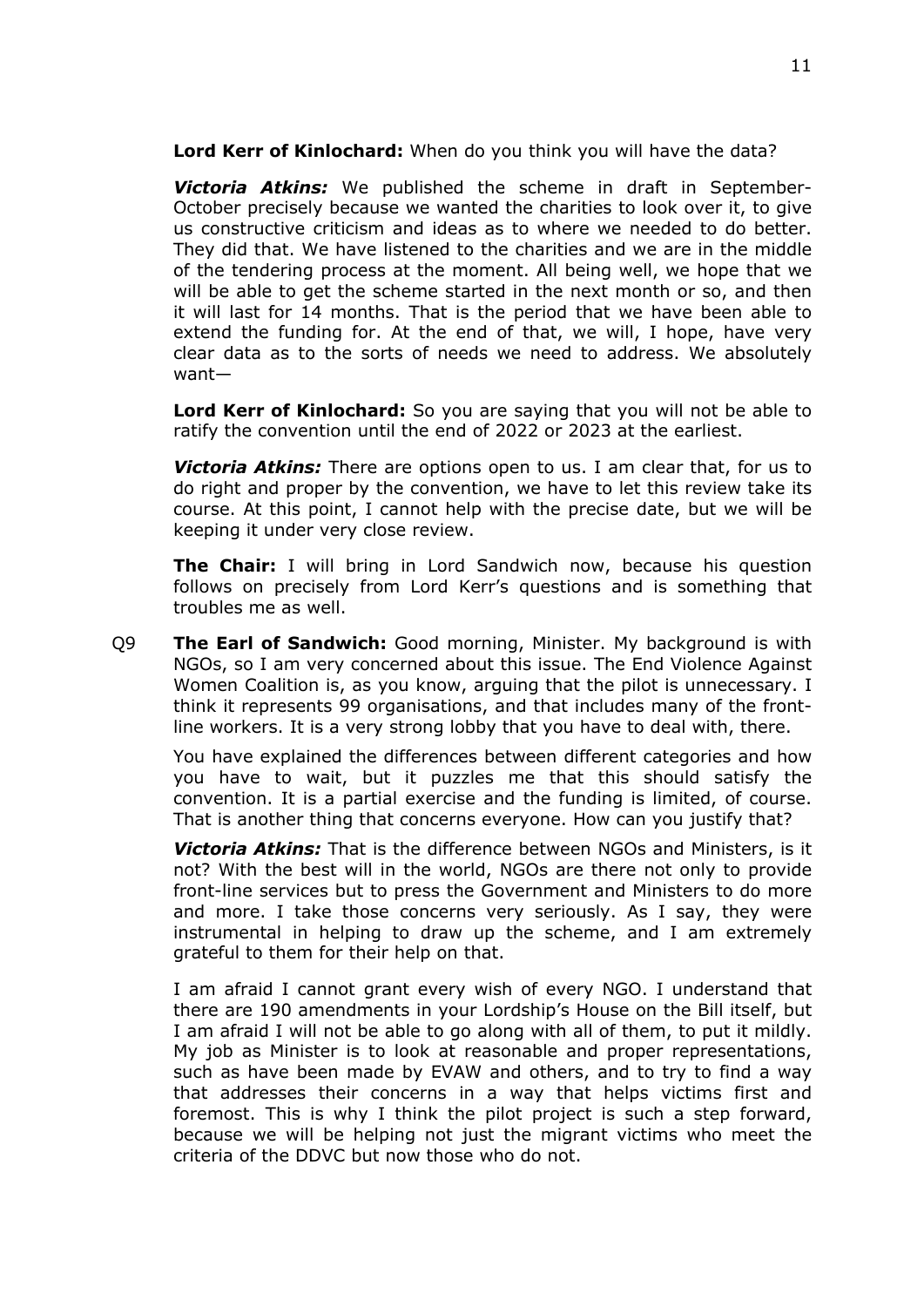**Lord Kerr of Kinlochard:** When do you think you will have the data?

*Victoria Atkins:* We published the scheme in draft in September-October precisely because we wanted the charities to look over it, to give us constructive criticism and ideas as to where we needed to do better. They did that. We have listened to the charities and we are in the middle of the tendering process at the moment. All being well, we hope that we will be able to get the scheme started in the next month or so, and then it will last for 14 months. That is the period that we have been able to extend the funding for. At the end of that, we will, I hope, have very clear data as to the sorts of needs we need to address. We absolutely want—

**Lord Kerr of Kinlochard:** So you are saying that you will not be able to ratify the convention until the end of 2022 or 2023 at the earliest.

*Victoria Atkins:* There are options open to us. I am clear that, for us to do right and proper by the convention, we have to let this review take its course. At this point, I cannot help with the precise date, but we will be keeping it under very close review.

**The Chair:** I will bring in Lord Sandwich now, because his question follows on precisely from Lord Kerr's questions and is something that troubles me as well.

Q9 **The Earl of Sandwich:** Good morning, Minister. My background is with NGOs, so I am very concerned about this issue. The End Violence Against Women Coalition is, as you know, arguing that the pilot is unnecessary. I think it represents 99 organisations, and that includes many of the frontline workers. It is a very strong lobby that you have to deal with, there.

You have explained the differences between different categories and how you have to wait, but it puzzles me that this should satisfy the convention. It is a partial exercise and the funding is limited, of course. That is another thing that concerns everyone. How can you justify that?

*Victoria Atkins:* That is the difference between NGOs and Ministers, is it not? With the best will in the world, NGOs are there not only to provide front-line services but to press the Government and Ministers to do more and more. I take those concerns very seriously. As I say, they were instrumental in helping to draw up the scheme, and I am extremely grateful to them for their help on that.

I am afraid I cannot grant every wish of every NGO. I understand that there are 190 amendments in your Lordship's House on the Bill itself, but I am afraid I will not be able to go along with all of them, to put it mildly. My job as Minister is to look at reasonable and proper representations, such as have been made by EVAW and others, and to try to find a way that addresses their concerns in a way that helps victims first and foremost. This is why I think the pilot project is such a step forward, because we will be helping not just the migrant victims who meet the criteria of the DDVC but now those who do not.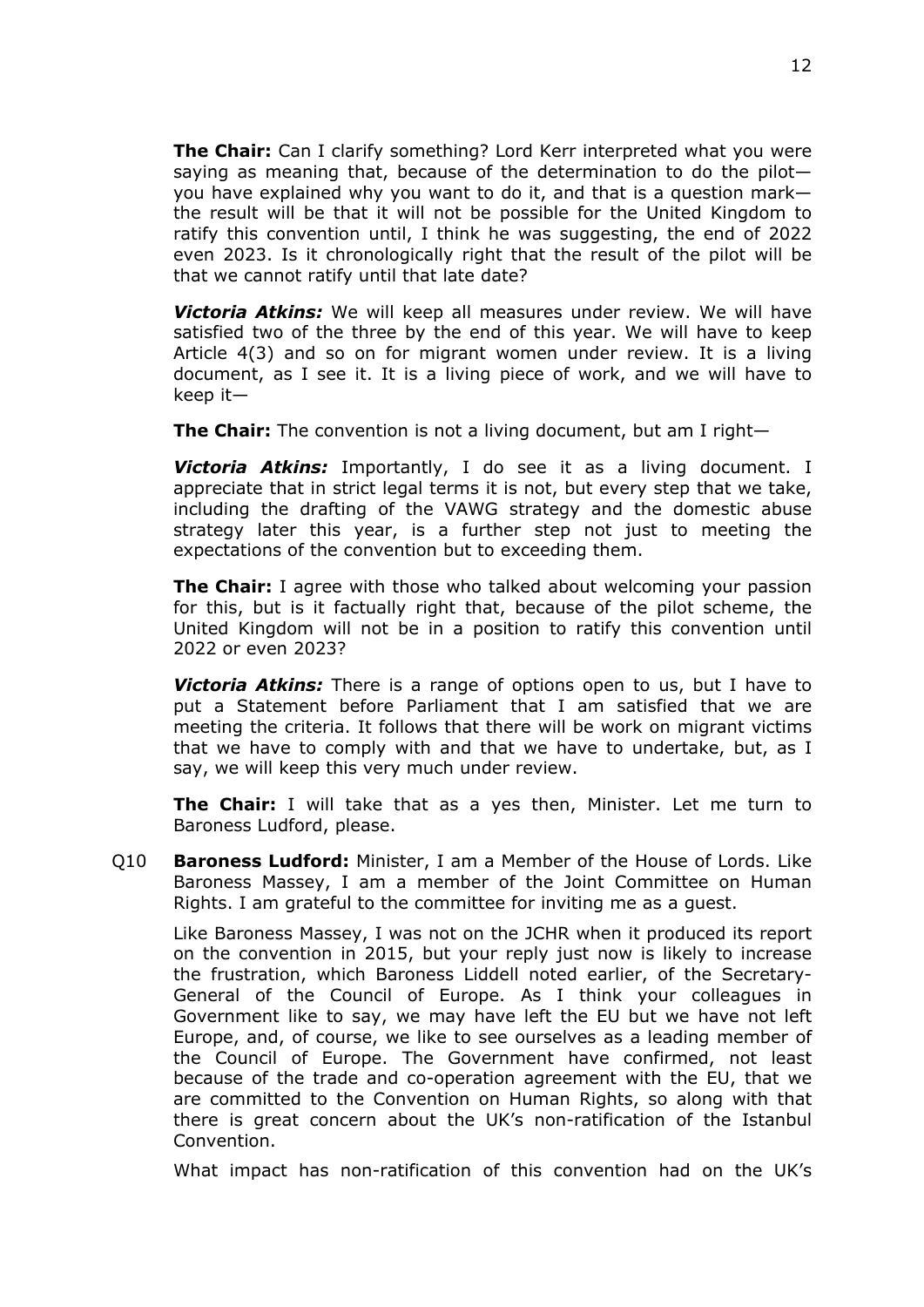**The Chair:** Can I clarify something? Lord Kerr interpreted what you were saying as meaning that, because of the determination to do the pilot you have explained why you want to do it, and that is a question mark the result will be that it will not be possible for the United Kingdom to ratify this convention until, I think he was suggesting, the end of 2022 even 2023. Is it chronologically right that the result of the pilot will be that we cannot ratify until that late date?

*Victoria Atkins:* We will keep all measures under review. We will have satisfied two of the three by the end of this year. We will have to keep Article 4(3) and so on for migrant women under review. It is a living document, as I see it. It is a living piece of work, and we will have to keep it—

**The Chair:** The convention is not a living document, but am I right—

*Victoria Atkins:* Importantly, I do see it as a living document. I appreciate that in strict legal terms it is not, but every step that we take, including the drafting of the VAWG strategy and the domestic abuse strategy later this year, is a further step not just to meeting the expectations of the convention but to exceeding them.

**The Chair:** I agree with those who talked about welcoming your passion for this, but is it factually right that, because of the pilot scheme, the United Kingdom will not be in a position to ratify this convention until 2022 or even 2023?

*Victoria Atkins:* There is a range of options open to us, but I have to put a Statement before Parliament that I am satisfied that we are meeting the criteria. It follows that there will be work on migrant victims that we have to comply with and that we have to undertake, but, as I say, we will keep this very much under review.

**The Chair:** I will take that as a yes then, Minister. Let me turn to Baroness Ludford, please.

Q10 **Baroness Ludford:** Minister, I am a Member of the House of Lords. Like Baroness Massey, I am a member of the Joint Committee on Human Rights. I am grateful to the committee for inviting me as a guest.

Like Baroness Massey, I was not on the JCHR when it produced its report on the convention in 2015, but your reply just now is likely to increase the frustration, which Baroness Liddell noted earlier, of the Secretary-General of the Council of Europe. As I think your colleagues in Government like to say, we may have left the EU but we have not left Europe, and, of course, we like to see ourselves as a leading member of the Council of Europe. The Government have confirmed, not least because of the trade and co-operation agreement with the EU, that we are committed to the Convention on Human Rights, so along with that there is great concern about the UK's non-ratification of the Istanbul Convention.

What impact has non-ratification of this convention had on the UK's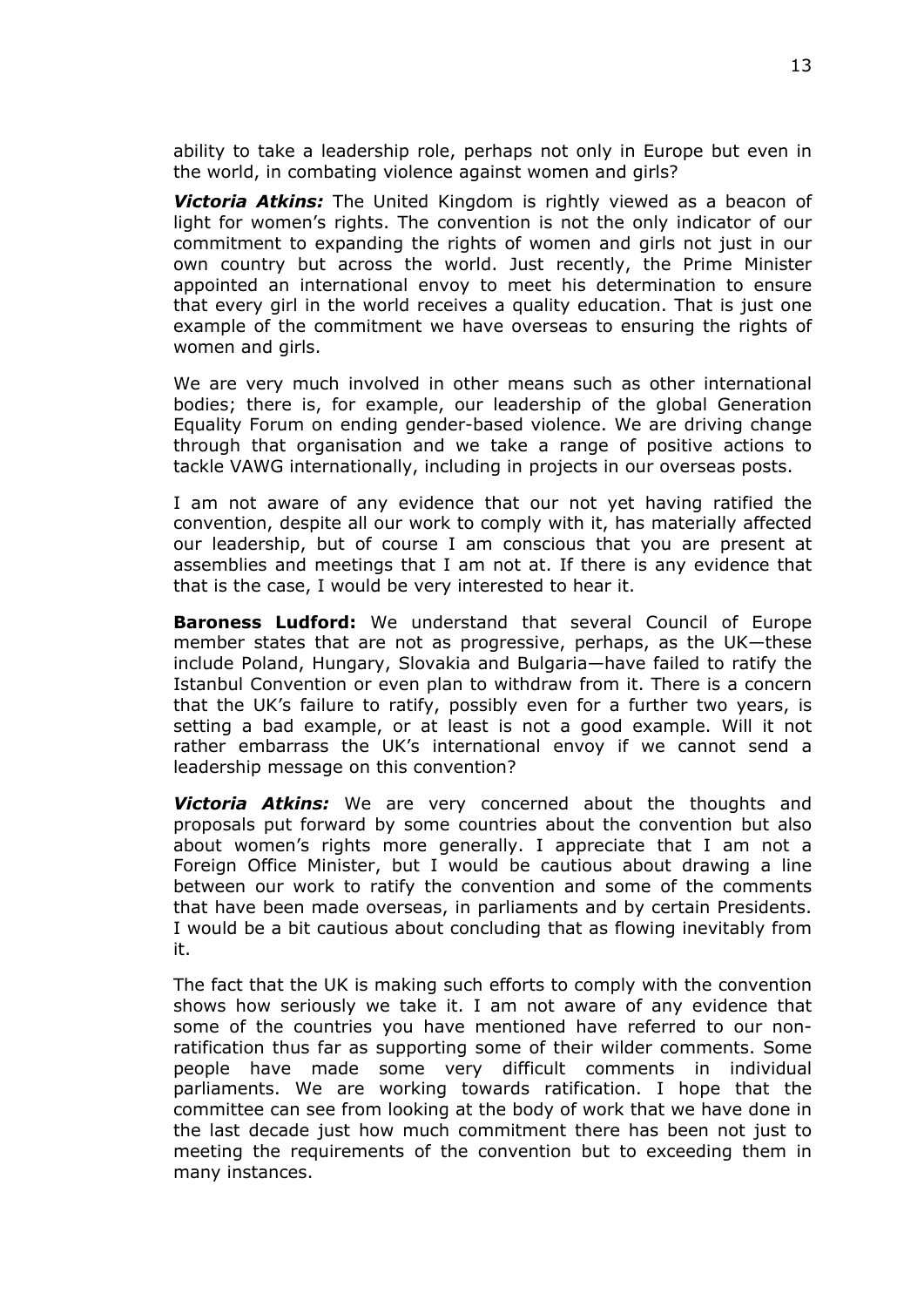ability to take a leadership role, perhaps not only in Europe but even in the world, in combating violence against women and girls?

*Victoria Atkins:* The United Kingdom is rightly viewed as a beacon of light for women's rights. The convention is not the only indicator of our commitment to expanding the rights of women and girls not just in our own country but across the world. Just recently, the Prime Minister appointed an international envoy to meet his determination to ensure that every girl in the world receives a quality education. That is just one example of the commitment we have overseas to ensuring the rights of women and girls.

We are very much involved in other means such as other international bodies; there is, for example, our leadership of the global Generation Equality Forum on ending gender-based violence. We are driving change through that organisation and we take a range of positive actions to tackle VAWG internationally, including in projects in our overseas posts.

I am not aware of any evidence that our not yet having ratified the convention, despite all our work to comply with it, has materially affected our leadership, but of course I am conscious that you are present at assemblies and meetings that I am not at. If there is any evidence that that is the case, I would be very interested to hear it.

**Baroness Ludford:** We understand that several Council of Europe member states that are not as progressive, perhaps, as the UK—these include Poland, Hungary, Slovakia and Bulgaria—have failed to ratify the Istanbul Convention or even plan to withdraw from it. There is a concern that the UK's failure to ratify, possibly even for a further two years, is setting a bad example, or at least is not a good example. Will it not rather embarrass the UK's international envoy if we cannot send a leadership message on this convention?

*Victoria Atkins:* We are very concerned about the thoughts and proposals put forward by some countries about the convention but also about women's rights more generally. I appreciate that I am not a Foreign Office Minister, but I would be cautious about drawing a line between our work to ratify the convention and some of the comments that have been made overseas, in parliaments and by certain Presidents. I would be a bit cautious about concluding that as flowing inevitably from it.

The fact that the UK is making such efforts to comply with the convention shows how seriously we take it. I am not aware of any evidence that some of the countries you have mentioned have referred to our nonratification thus far as supporting some of their wilder comments. Some people have made some very difficult comments in individual parliaments. We are working towards ratification. I hope that the committee can see from looking at the body of work that we have done in the last decade just how much commitment there has been not just to meeting the requirements of the convention but to exceeding them in many instances.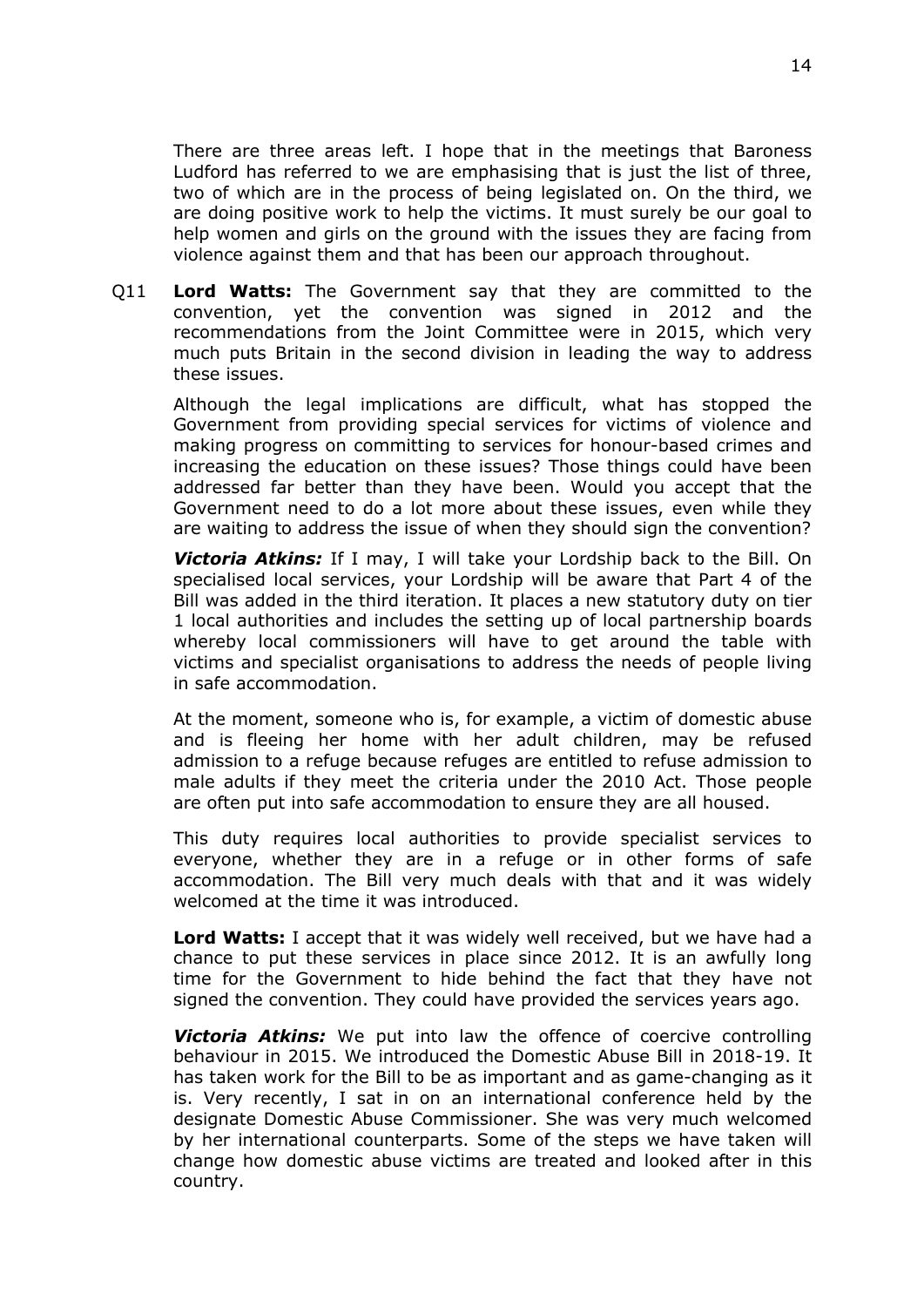There are three areas left. I hope that in the meetings that Baroness Ludford has referred to we are emphasising that is just the list of three, two of which are in the process of being legislated on. On the third, we are doing positive work to help the victims. It must surely be our goal to help women and girls on the ground with the issues they are facing from violence against them and that has been our approach throughout.

Q11 **Lord Watts:** The Government say that they are committed to the convention, yet the convention was signed in 2012 and the recommendations from the Joint Committee were in 2015, which very much puts Britain in the second division in leading the way to address these issues.

Although the legal implications are difficult, what has stopped the Government from providing special services for victims of violence and making progress on committing to services for honour-based crimes and increasing the education on these issues? Those things could have been addressed far better than they have been. Would you accept that the Government need to do a lot more about these issues, even while they are waiting to address the issue of when they should sign the convention?

*Victoria Atkins:* If I may, I will take your Lordship back to the Bill. On specialised local services, your Lordship will be aware that Part 4 of the Bill was added in the third iteration. It places a new statutory duty on tier 1 local authorities and includes the setting up of local partnership boards whereby local commissioners will have to get around the table with victims and specialist organisations to address the needs of people living in safe accommodation.

At the moment, someone who is, for example, a victim of domestic abuse and is fleeing her home with her adult children, may be refused admission to a refuge because refuges are entitled to refuse admission to male adults if they meet the criteria under the 2010 Act. Those people are often put into safe accommodation to ensure they are all housed.

This duty requires local authorities to provide specialist services to everyone, whether they are in a refuge or in other forms of safe accommodation. The Bill very much deals with that and it was widely welcomed at the time it was introduced.

**Lord Watts:** I accept that it was widely well received, but we have had a chance to put these services in place since 2012. It is an awfully long time for the Government to hide behind the fact that they have not signed the convention. They could have provided the services years ago.

*Victoria Atkins:* We put into law the offence of coercive controlling behaviour in 2015. We introduced the Domestic Abuse Bill in 2018-19. It has taken work for the Bill to be as important and as game-changing as it is. Very recently, I sat in on an international conference held by the designate Domestic Abuse Commissioner. She was very much welcomed by her international counterparts. Some of the steps we have taken will change how domestic abuse victims are treated and looked after in this country.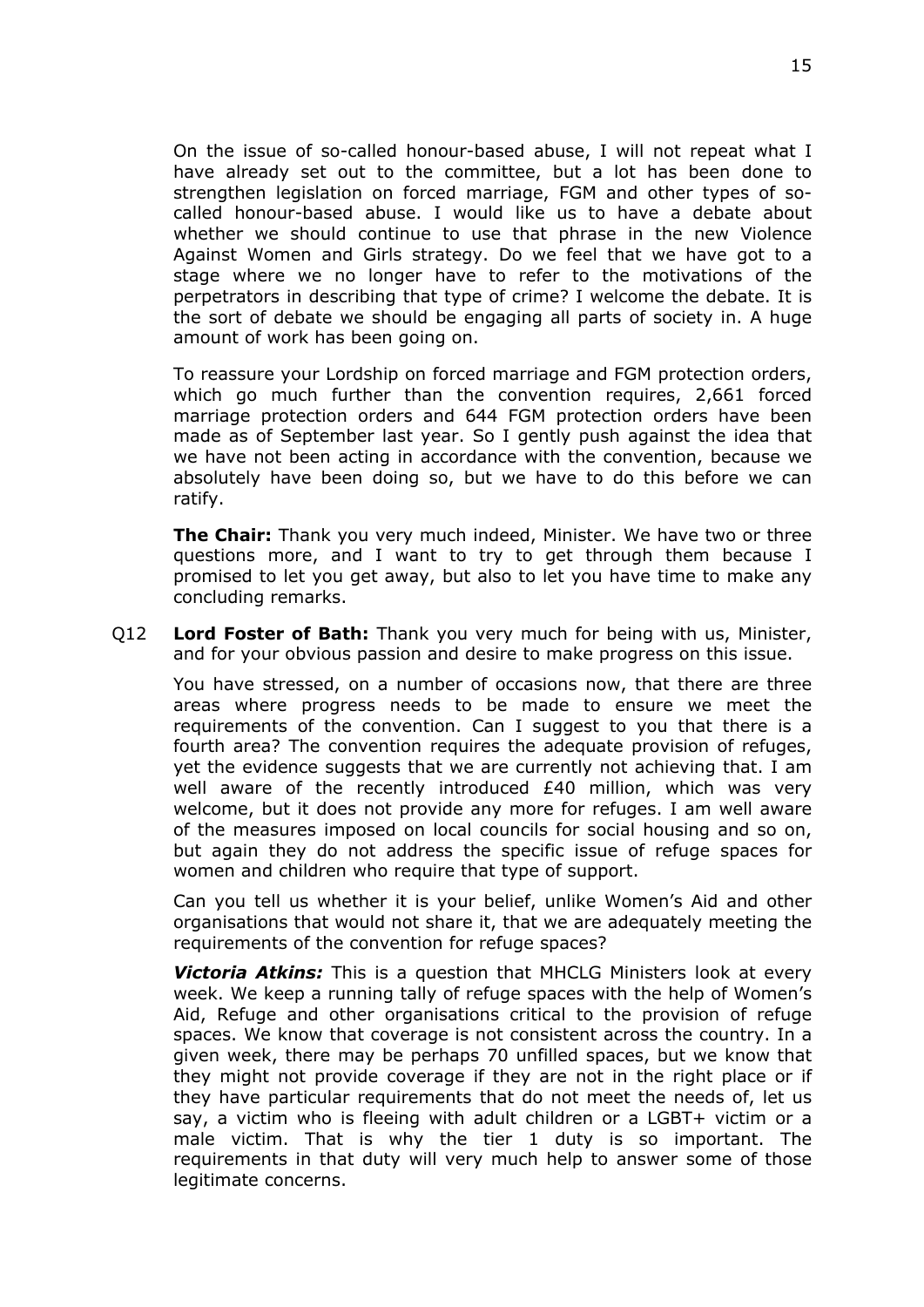On the issue of so-called honour-based abuse, I will not repeat what I have already set out to the committee, but a lot has been done to strengthen legislation on forced marriage, FGM and other types of socalled honour-based abuse. I would like us to have a debate about whether we should continue to use that phrase in the new Violence Against Women and Girls strategy. Do we feel that we have got to a stage where we no longer have to refer to the motivations of the perpetrators in describing that type of crime? I welcome the debate. It is the sort of debate we should be engaging all parts of society in. A huge amount of work has been going on.

To reassure your Lordship on forced marriage and FGM protection orders, which go much further than the convention requires, 2,661 forced marriage protection orders and 644 FGM protection orders have been made as of September last year. So I gently push against the idea that we have not been acting in accordance with the convention, because we absolutely have been doing so, but we have to do this before we can ratify.

**The Chair:** Thank you very much indeed, Minister. We have two or three questions more, and I want to try to get through them because I promised to let you get away, but also to let you have time to make any concluding remarks.

Q12 **Lord Foster of Bath:** Thank you very much for being with us, Minister, and for your obvious passion and desire to make progress on this issue.

You have stressed, on a number of occasions now, that there are three areas where progress needs to be made to ensure we meet the requirements of the convention. Can I suggest to you that there is a fourth area? The convention requires the adequate provision of refuges, yet the evidence suggests that we are currently not achieving that. I am well aware of the recently introduced £40 million, which was very welcome, but it does not provide any more for refuges. I am well aware of the measures imposed on local councils for social housing and so on, but again they do not address the specific issue of refuge spaces for women and children who require that type of support.

Can you tell us whether it is your belief, unlike Women's Aid and other organisations that would not share it, that we are adequately meeting the requirements of the convention for refuge spaces?

*Victoria Atkins:* This is a question that MHCLG Ministers look at every week. We keep a running tally of refuge spaces with the help of Women's Aid, Refuge and other organisations critical to the provision of refuge spaces. We know that coverage is not consistent across the country. In a given week, there may be perhaps 70 unfilled spaces, but we know that they might not provide coverage if they are not in the right place or if they have particular requirements that do not meet the needs of, let us say, a victim who is fleeing with adult children or a LGBT+ victim or a male victim. That is why the tier 1 duty is so important. The requirements in that duty will very much help to answer some of those legitimate concerns.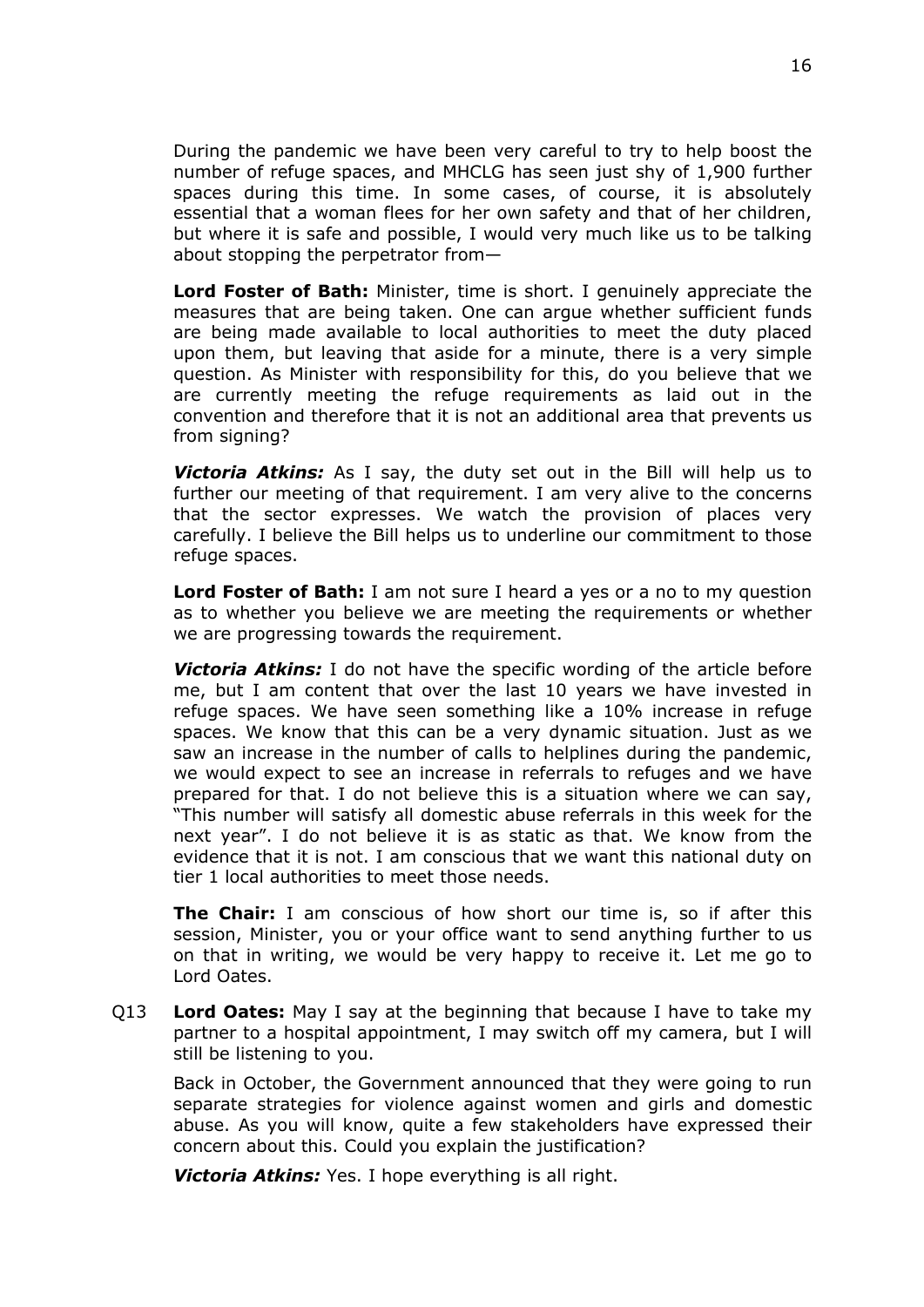During the pandemic we have been very careful to try to help boost the number of refuge spaces, and MHCLG has seen just shy of 1,900 further spaces during this time. In some cases, of course, it is absolutely essential that a woman flees for her own safety and that of her children, but where it is safe and possible, I would very much like us to be talking about stopping the perpetrator from—

**Lord Foster of Bath:** Minister, time is short. I genuinely appreciate the measures that are being taken. One can argue whether sufficient funds are being made available to local authorities to meet the duty placed upon them, but leaving that aside for a minute, there is a very simple question. As Minister with responsibility for this, do you believe that we are currently meeting the refuge requirements as laid out in the convention and therefore that it is not an additional area that prevents us from signing?

*Victoria Atkins:* As I say, the duty set out in the Bill will help us to further our meeting of that requirement. I am very alive to the concerns that the sector expresses. We watch the provision of places very carefully. I believe the Bill helps us to underline our commitment to those refuge spaces.

**Lord Foster of Bath:** I am not sure I heard a yes or a no to my question as to whether you believe we are meeting the requirements or whether we are progressing towards the requirement.

*Victoria Atkins:* I do not have the specific wording of the article before me, but I am content that over the last 10 years we have invested in refuge spaces. We have seen something like a 10% increase in refuge spaces. We know that this can be a very dynamic situation. Just as we saw an increase in the number of calls to helplines during the pandemic, we would expect to see an increase in referrals to refuges and we have prepared for that. I do not believe this is a situation where we can say, "This number will satisfy all domestic abuse referrals in this week for the next year". I do not believe it is as static as that. We know from the evidence that it is not. I am conscious that we want this national duty on tier 1 local authorities to meet those needs.

**The Chair:** I am conscious of how short our time is, so if after this session, Minister, you or your office want to send anything further to us on that in writing, we would be very happy to receive it. Let me go to Lord Oates.

Q13 **Lord Oates:** May I say at the beginning that because I have to take my partner to a hospital appointment, I may switch off my camera, but I will still be listening to you.

Back in October, the Government announced that they were going to run separate strategies for violence against women and girls and domestic abuse. As you will know, quite a few stakeholders have expressed their concern about this. Could you explain the justification?

*Victoria Atkins:* Yes. I hope everything is all right.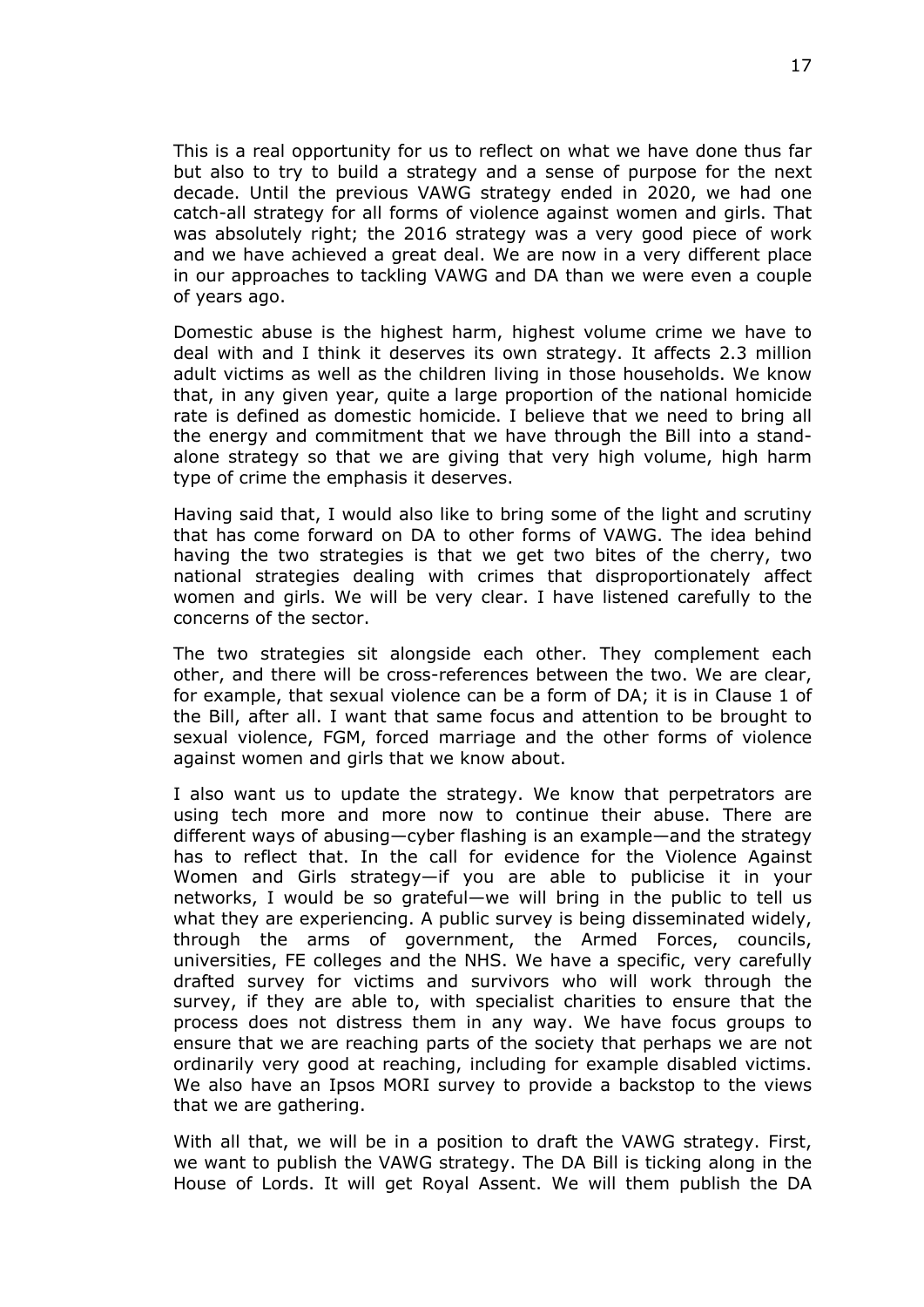This is a real opportunity for us to reflect on what we have done thus far but also to try to build a strategy and a sense of purpose for the next decade. Until the previous VAWG strategy ended in 2020, we had one catch-all strategy for all forms of violence against women and girls. That was absolutely right; the 2016 strategy was a very good piece of work and we have achieved a great deal. We are now in a very different place in our approaches to tackling VAWG and DA than we were even a couple of years ago.

Domestic abuse is the highest harm, highest volume crime we have to deal with and I think it deserves its own strategy. It affects 2.3 million adult victims as well as the children living in those households. We know that, in any given year, quite a large proportion of the national homicide rate is defined as domestic homicide. I believe that we need to bring all the energy and commitment that we have through the Bill into a standalone strategy so that we are giving that very high volume, high harm type of crime the emphasis it deserves.

Having said that, I would also like to bring some of the light and scrutiny that has come forward on DA to other forms of VAWG. The idea behind having the two strategies is that we get two bites of the cherry, two national strategies dealing with crimes that disproportionately affect women and girls. We will be very clear. I have listened carefully to the concerns of the sector.

The two strategies sit alongside each other. They complement each other, and there will be cross-references between the two. We are clear, for example, that sexual violence can be a form of DA; it is in Clause 1 of the Bill, after all. I want that same focus and attention to be brought to sexual violence, FGM, forced marriage and the other forms of violence against women and girls that we know about.

I also want us to update the strategy. We know that perpetrators are using tech more and more now to continue their abuse. There are different ways of abusing—cyber flashing is an example—and the strategy has to reflect that. In the call for evidence for the Violence Against Women and Girls strategy—if you are able to publicise it in your networks, I would be so grateful—we will bring in the public to tell us what they are experiencing. A public survey is being disseminated widely, through the arms of government, the Armed Forces, councils, universities, FE colleges and the NHS. We have a specific, very carefully drafted survey for victims and survivors who will work through the survey, if they are able to, with specialist charities to ensure that the process does not distress them in any way. We have focus groups to ensure that we are reaching parts of the society that perhaps we are not ordinarily very good at reaching, including for example disabled victims. We also have an Ipsos MORI survey to provide a backstop to the views that we are gathering.

With all that, we will be in a position to draft the VAWG strategy. First, we want to publish the VAWG strategy. The DA Bill is ticking along in the House of Lords. It will get Royal Assent. We will them publish the DA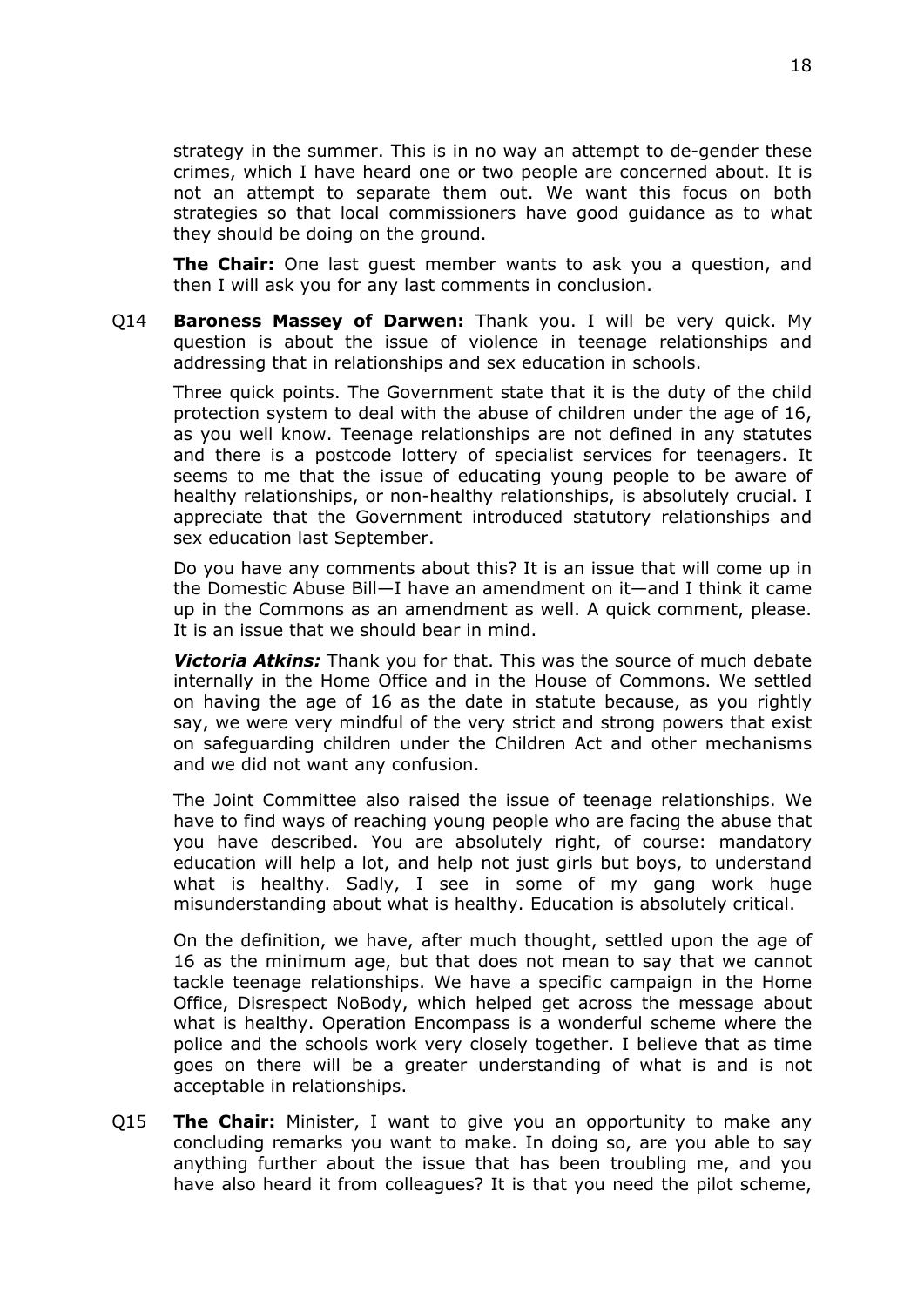strategy in the summer. This is in no way an attempt to de-gender these crimes, which I have heard one or two people are concerned about. It is not an attempt to separate them out. We want this focus on both strategies so that local commissioners have good guidance as to what they should be doing on the ground.

**The Chair:** One last guest member wants to ask you a question, and then I will ask you for any last comments in conclusion.

Q14 **Baroness Massey of Darwen:** Thank you. I will be very quick. My question is about the issue of violence in teenage relationships and addressing that in relationships and sex education in schools.

Three quick points. The Government state that it is the duty of the child protection system to deal with the abuse of children under the age of 16, as you well know. Teenage relationships are not defined in any statutes and there is a postcode lottery of specialist services for teenagers. It seems to me that the issue of educating young people to be aware of healthy relationships, or non-healthy relationships, is absolutely crucial. I appreciate that the Government introduced statutory relationships and sex education last September.

Do you have any comments about this? It is an issue that will come up in the Domestic Abuse Bill—I have an amendment on it—and I think it came up in the Commons as an amendment as well. A quick comment, please. It is an issue that we should bear in mind.

*Victoria Atkins:* Thank you for that. This was the source of much debate internally in the Home Office and in the House of Commons. We settled on having the age of 16 as the date in statute because, as you rightly say, we were very mindful of the very strict and strong powers that exist on safeguarding children under the Children Act and other mechanisms and we did not want any confusion.

The Joint Committee also raised the issue of teenage relationships. We have to find ways of reaching young people who are facing the abuse that you have described. You are absolutely right, of course: mandatory education will help a lot, and help not just girls but boys, to understand what is healthy. Sadly, I see in some of my gang work huge misunderstanding about what is healthy. Education is absolutely critical.

On the definition, we have, after much thought, settled upon the age of 16 as the minimum age, but that does not mean to say that we cannot tackle teenage relationships. We have a specific campaign in the Home Office, Disrespect NoBody, which helped get across the message about what is healthy. Operation Encompass is a wonderful scheme where the police and the schools work very closely together. I believe that as time goes on there will be a greater understanding of what is and is not acceptable in relationships.

Q15 **The Chair:** Minister, I want to give you an opportunity to make any concluding remarks you want to make. In doing so, are you able to say anything further about the issue that has been troubling me, and you have also heard it from colleagues? It is that you need the pilot scheme,